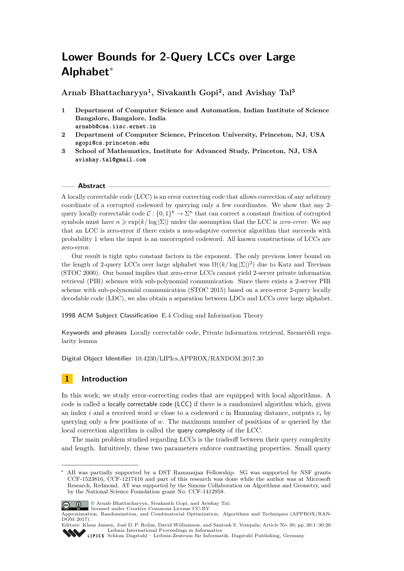# <span id="page-0-0"></span>**Lower Bounds for 2-Query LCCs over Large Alphabet**<sup>∗</sup>

**Arnab Bhattacharyya<sup>1</sup> , Sivakanth Gopi<sup>2</sup> , and Avishay Tal<sup>3</sup>**

- **1 Department of Computer Science and Automation, Indian Institute of Science Bangalore, Bangalore, India arnabb@csa.iisc.ernet.in**
- **2 Department of Computer Science, Princeton University, Princeton, NJ, USA sgopi@cs.princeton.edu**
- **3 School of Mathematics, Institute for Advanced Study, Princeton, NJ, USA avishay.tal@gmail.com**

#### **Abstract**

A locally correctable code (LCC) is an error correcting code that allows correction of any arbitrary coordinate of a corrupted codeword by querying only a few coordinates. We show that any 2 query locally correctable code  $C: \{0,1\}^k \to \Sigma^n$  that can correct a constant fraction of corrupted symbols must have  $n \geqslant \exp(k/\log|\Sigma|)$  under the assumption that the LCC is *zero-error*. We say that an LCC is zero-error if there exists a non-adaptive corrector algorithm that succeeds with probability 1 when the input is an uncorrupted codeword. All known constructions of LCCs are zero-error.

Our result is tight upto constant factors in the exponent. The only previous lower bound on the length of 2-query LCCs over large alphabet was  $\Omega((k/\log |\Sigma|)^2)$  due to Katz and Trevisan (STOC 2000). Our bound implies that zero-error LCCs cannot yield 2-server private information retrieval (PIR) schemes with sub-polynomial communication. Since there exists a 2-server PIR scheme with sub-polynomial communication (STOC 2015) based on a zero-error 2-query locally decodable code (LDC), we also obtain a separation between LDCs and LCCs over large alphabet.

**1998 ACM Subject Classification** E.4 Coding and Information Theory

**Keywords and phrases** Locally correctable code, Private information retrieval, Szemerédi regularity lemma

**Digital Object Identifier** [10.4230/LIPIcs.APPROX/RANDOM.2017.30](http://dx.doi.org/10.4230/LIPIcs.APPROX/RANDOM.2017.30)

# **1 Introduction**

In this work, we study error-correcting codes that are equipped with local algorithms. A code is called a locally correctable code (LCC) if there is a randomized algorithm which, given an index *i* and a received word *w* close to a codeword *c* in Hamming distance, outputs *c<sup>i</sup>* by querying only a few positions of *w*. The maximum number of positions of *w* queried by the local correction algorithm is called the query complexity of the LCC.

The main problem studied regarding LCCs is the tradeoff between their query complexity and length. Intuitively, these two parameters enforce contrasting properties. Small query

AB was partially supported by a DST Ramanujan Fellowship. SG was supported by NSF grants CCF-1523816, CCF-1217416 and part of this research was done while the author was at Microsoft Research, Redmond. AT was supported by the Simons Collaboration on Algorithms and Geometry, and by the National Science Foundation grant No. CCF-1412958.



© Arnab Bhattacharyya, Sivakanth Gopi, and Avishay Tal;

licensed under Creative Commons License CC-BY Approximation, Randomization, and Combinatorial Optimization. Algorithms and Techniques (APPROX/RAN-DOM 2017).

Editors: Klaus Jansen, José D. P. Rolim, David Williamson, and Santosh S. Vempala; Article No. 30; pp. 30:1–30[:20](#page-19-0) [Leibniz International Proceedings in Informatics](http://www.dagstuhl.de/lipics/)

[Schloss Dagstuhl – Leibniz-Zentrum für Informatik, Dagstuhl Publishing, Germany](http://www.dagstuhl.de)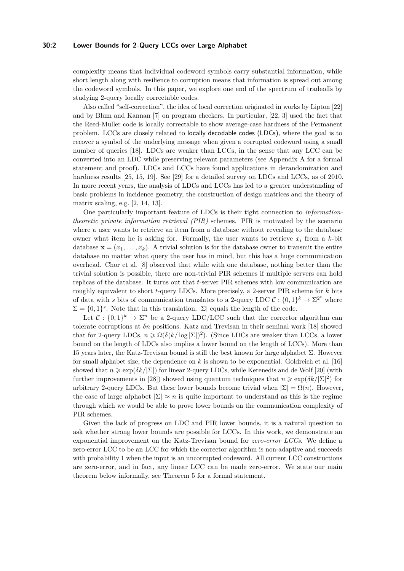#### **30:2 Lower Bounds for 2-Query LCCs over Large Alphabet**

complexity means that individual codeword symbols carry substantial information, while short length along with resilience to corruption means that information is spread out among the codeword symbols. In this paper, we explore one end of the spectrum of tradeoffs by studying 2-query locally correctable codes.

Also called "self-correction", the idea of local correction originated in works by Lipton [\[22\]](#page-12-0) and by Blum and Kannan [\[7\]](#page-12-1) on program checkers. In particular, [\[22,](#page-12-0) [3\]](#page-11-0) used the fact that the Reed-Muller code is locally correctable to show average-case hardness of the Permanent problem. LCCs are closely related to locally decodable codes (LDCs), where the goal is to recover a symbol of the underlying message when given a corrupted codeword using a small number of queries [\[18\]](#page-12-2). LDCs are weaker than LCCs, in the sense that any LCC can be converted into an LDC while preserving relevant parameters (see Appendix [A](#page-13-0) for a formal statement and proof). LDCs and LCCs have found applications in derandomization and hardness results [\[25,](#page-13-1) [15,](#page-12-3) [19\]](#page-12-4). See [\[29\]](#page-13-2) for a detailed survey on LDCs and LCCs, as of 2010. In more recent years, the analysis of LDCs and LCCs has led to a greater understanding of basic problems in incidence geometry, the construction of design matrices and the theory of matrix scaling, e.g. [\[2,](#page-11-1) [14,](#page-12-5) [13\]](#page-12-6).

One particularly important feature of LDCs is their tight connection to *informationtheoretic private information retrieval (PIR)* schemes. PIR is motivated by the scenario where a user wants to retrieve an item from a database without revealing to the database owner what item he is asking for. Formally, the user wants to retrieve  $x_i$  from a  $k$ -bit database  $\mathbf{x} = (x_1, \ldots, x_k)$ . A trivial solution is for the database owner to transmit the entire database no matter what query the user has in mind, but this has a huge communication overhead. Chor et al. [\[8\]](#page-12-7) observed that while with one database, nothing better than the trivial solution is possible, there are non-trivial PIR schemes if multiple servers can hold replicas of the database. It turns out that *t*-server PIR schemes with low communication are roughly equivalent to short *t*-query LDCs. More precisely, a 2-server PIR scheme for *k* bits of data with *s* bits of communication translates to a 2-query LDC  $C: \{0,1\}^k \to \Sigma^{2^s}$  where  $\Sigma = \{0,1\}^s$ . Note that in this translation,  $\Sigma$  equals the length of the code.

Let  $\mathcal{C}: \{0,1\}^k \to \Sigma^n$  be a 2-query LDC/LCC such that the corrector algorithm can tolerate corruptions at *δn* positions. Katz and Trevisan in their seminal work [\[18\]](#page-12-2) showed that for 2-query LDCs,  $n \geq \Omega(\delta(k/\log|\Sigma|)^2)$ . (Since LDCs are weaker than LCCs, a lower bound on the length of LDCs also implies a lower bound on the length of LCCs). More than 15 years later, the Katz-Trevisan bound is still the best known for large alphabet  $\Sigma$ . However for small alphabet size, the dependence on *k* is shown to be exponential. Goldreich et al. [\[16\]](#page-12-8) showed that  $n \geq \exp(\delta k / \Sigma)$  for linear 2-query LDCs, while Kerenedis and de Wolf [\[20\]](#page-12-9) (with further improvements in [\[28\]](#page-13-3)) showed using quantum techniques that  $n \geq \exp(\delta k/|\Sigma|^2)$  for arbitrary 2-query LDCs. But these lower bounds become trivial when  $|\Sigma| = \Omega(n)$ . However, the case of large alphabet  $|\Sigma| \approx n$  is quite important to understand as this is the regime through which we would be able to prove lower bounds on the communication complexity of PIR schemes.

Given the lack of progress on LDC and PIR lower bounds, it is a natural question to ask whether strong lower bounds are possible for LCCs. In this work, we demonstrate an exponential improvement on the Katz-Trevisan bound for *zero-error LCCs*. We define a zero-error LCC to be an LCC for which the corrector algorithm is non-adaptive and succeeds with probability 1 when the input is an uncorrupted codeword. All current LCC constructions are zero-error, and in fact, any linear LCC can be made zero-error. We state our main theorem below informally, see Theorem [5](#page-7-0) for a formal statement.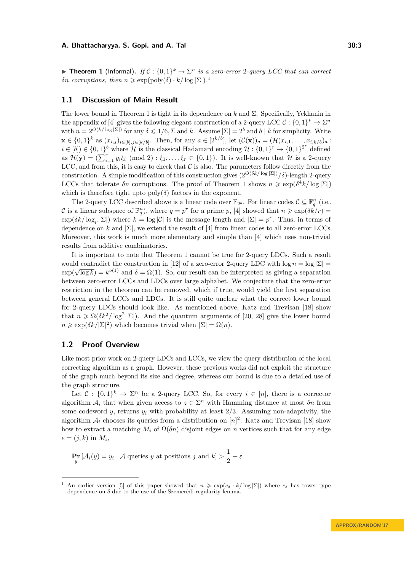<span id="page-2-1"></span>**Theorem 1** (Informal). If  $C: \{0,1\}^k \to \Sigma^n$  is a zero-error 2-query LCC that can correct *δn corruptions, then*  $n \ge \exp(\text{poly}(\delta) \cdot k / \log |\Sigma|).$ <sup>[1](#page-2-0)</sup>

#### **1.1 Discussion of Main Result**

The lower bound in Theorem [1](#page-2-1) is tight in its dependence on *k* and Σ. Specifically, Yekhanin in the appendix of [\[4\]](#page-12-10) gives the following elegant construction of a 2-query LCC  $\mathcal{C}: \{0,1\}^k \to \Sigma^n$ with  $n = 2^{O(k/\log |\Sigma|)}$  for any  $\delta \leq 1/6$ ,  $\Sigma$  and  $k$ . Assume  $|\Sigma| = 2^b$  and  $b \mid k$  for simplicity. Write  $\mathbf{x} \in \{0,1\}^k$  as  $(x_{i,j})_{i \in [b], j \in [k/b]}$ . Then, for any  $a \in [2^{k/b}]$ , let  $(C(\mathbf{x}))_a = (\mathcal{H}(x_{i,1}, \ldots, x_{i,k/b})_a$ :  $i \in [b] \in \{0,1\}^b$  where H is the classical Hadamard encoding  $\mathcal{H}: \{0,1\}^r \to \{0,1\}^{2^r}$  defined as  $\mathcal{H}(\mathbf{y}) = (\sum_{i=1}^r y_i \xi_i \pmod{2} : \xi_1, \ldots, \xi_r \in \{0, 1\})$ . It is well-known that  $\mathcal{H}$  is a 2-query LCC, and from this, it is easy to check that  $\mathcal C$  is also. The parameters follow directly from the construction. A simple modification of this construction gives  $(2^{O(\delta k/\log |\Sigma|)}/\delta)$ -length 2-query LCCs that tolerate  $\delta n$  corruptions. The proof of Theorem [1](#page-2-1) shows  $n \geq \exp(\delta^4 k / \log |\Sigma|)$ which is therefore tight upto  $poly(\delta)$  factors in the exponent.

The 2-query LCC described above is a linear code over  $\mathbb{F}_{2^b}$ . For linear codes  $\mathcal{C} \subseteq \mathbb{F}_q^n$  (i.e., C is a linear subspace of  $\mathbb{F}_q^n$ , where  $q = p^r$  for a prime p, [\[4\]](#page-12-10) showed that  $n \geqslant \exp(\delta k/r)$  $\exp(\delta k/\log_p |\Sigma|)$  where  $k = \log |\mathcal{C}|$  is the message length and  $|\Sigma| = p^r$ . Thus, in terms of dependence on *k* and  $|\Sigma|$ , we extend the result of [\[4\]](#page-12-10) from linear codes to all zero-error LCCs. Moreover, this work is much more elementary and simple than [\[4\]](#page-12-10) which uses non-trivial results from additive combinatorics.

It is important to note that Theorem [1](#page-2-1) cannot be true for 2-query LDCs. Such a result would contradict the construction in [\[12\]](#page-12-11) of a zero-error 2-query LDC with  $\log n = \log |\Sigma|$  =  $\exp(\sqrt{\log k}) = k^{o(1)}$  and  $\delta = \Omega(1)$ . So, our result can be interpreted as giving a separation between zero-error LCCs and LDCs over large alphabet. We conjecture that the zero-error restriction in the theorem can be removed, which if true, would yield the first separation between general LCCs and LDCs. It is still quite unclear what the correct lower bound for 2-query LDCs should look like. As mentioned above, Katz and Trevisan [\[18\]](#page-12-2) show that  $n \geq \Omega(\delta k^2/\log^2 |\Sigma|)$ . And the quantum arguments of [\[20,](#page-12-9) [28\]](#page-13-3) give the lower bound  $n \geqslant \exp(\delta k/|\Sigma|^2)$  which becomes trivial when  $|\Sigma| = \Omega(n)$ .

# <span id="page-2-2"></span>**1.2 Proof Overview**

Like most prior work on 2-query LDCs and LCCs, we view the query distribution of the local correcting algorithm as a graph. However, these previous works did not exploit the structure of the graph much beyond its size and degree, whereas our bound is due to a detailed use of the graph structure.

Let  $C: \{0,1\}^k \to \Sigma^n$  be a 2-query LCC. So, for every  $i \in [n]$ , there is a corrector algorithm  $A_i$  that when given access to  $z \in \Sigma^n$  with Hamming distance at most  $\delta n$  from some codeword *y*, returns  $y_i$  with probability at least  $2/3$ . Assuming non-adaptivity, the algorithm  $A_i$  chooses its queries from a distribution on  $[n]^2$ . Katz and Trevisan [\[18\]](#page-12-2) show how to extract a matching  $M_i$  of  $\Omega(\delta n)$  disjoint edges on *n* vertices such that for any edge  $e = (j, k)$  in  $M_i$ ,

 $\Pr_y[\mathcal{A}_i(y) = y_i \mid \mathcal{A} \text{ queries } y \text{ at positions } j \text{ and } k] > \frac{1}{2}$  $\frac{1}{2} + \varepsilon$ 

<span id="page-2-0"></span>An earlier version [\[5\]](#page-12-12) of this paper showed that  $n \geq \exp(c_{\delta} \cdot k / \log |\Sigma|)$  where  $c_{\delta}$  has tower type dependence on *δ* due to the use of the Szemerédi regularity lemma.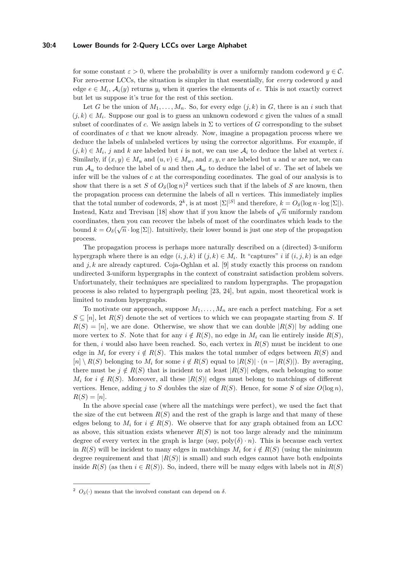#### **30:4 Lower Bounds for 2-Query LCCs over Large Alphabet**

for some constant  $\varepsilon > 0$ , where the probability is over a uniformly random codeword  $y \in \mathcal{C}$ . For zero-error LCCs, the situation is simpler in that essentially, for *every* codeword *y* and edge  $e \in M_i$ ,  $\mathcal{A}_i(y)$  returns  $y_i$  when it queries the elements of  $e$ . This is not exactly correct but let us suppose it's true for the rest of this section.

Let *G* be the union of  $M_1, \ldots, M_n$ . So, for every edge  $(j, k)$  in *G*, there is an *i* such that  $(j, k) \in M_i$ . Suppose our goal is to guess an unknown codeword c given the values of a small subset of coordinates of *c*. We assign labels in  $\Sigma$  to vertices of *G* corresponding to the subset of coordinates of *c* that we know already. Now, imagine a propagation process where we deduce the labels of unlabeled vertices by using the corrector algorithms. For example, if  $(j, k) \in M_i$ , *j* and *k* are labeled but *i* is not, we can use  $A_i$  to deduce the label at vertex *i*. Similarly, if  $(x, y) \in M_u$  and  $(u, v) \in M_w$ , and  $x, y, v$  are labeled but *u* and *w* are not, we can run  $A_u$  to deduce the label of *u* and then  $A_w$  to deduce the label of *w*. The set of labels we infer will be the values of *c* at the corresponding coordinates. The goal of our analysis is to show that there is a set *S* of  $O_\delta(\log n)^2$  $O_\delta(\log n)^2$  vertices such that if the labels of *S* are known, then the propagation process can determine the labels of all *n* vertices. This immediately implies that the total number of codewords,  $2^k$ , is at most  $|\Sigma|^{|S|}$  and therefore,  $k = O_\delta(\log n \cdot \log |\Sigma|)$ . Instead, Katz and Trevisan [\[18\]](#page-12-2) show that if you know the labels of  $\sqrt{n}$  uniformly random coordinates, then you can recover the labels of most of the coordinates which leads to the bound  $k = O_\delta(\sqrt{n} \cdot \log |\Sigma|)$ . Intuitively, their lower bound is just one step of the propagation process.

The propagation process is perhaps more naturally described on a (directed) 3-uniform hypergraph where there is an edge  $(i, j, k)$  if  $(j, k) \in M_i$ . It "captures" *i* if  $(i, j, k)$  is an edge and *j, k* are already captured. Coja-Oghlan et al. [\[9\]](#page-12-13) study exactly this process on random undirected 3-uniform hypergraphs in the context of constraint satisfaction problem solvers. Unfortunately, their techniques are specialized to random hypergraphs. The propagation process is also related to hypergraph peeling [\[23,](#page-12-14) [24\]](#page-13-4), but again, most theoretical work is limited to random hypergraphs.

To motivate our approach, suppose  $M_1, \ldots, M_n$  are each a perfect matching. For a set  $S \subseteq [n]$ , let  $R(S)$  denote the set of vertices to which we can propagate starting from *S*. If  $R(S) = [n]$ , we are done. Otherwise, we show that we can double  $|R(S)|$  by adding one more vertex to *S*. Note that for any  $i \notin R(S)$ , no edge in  $M_i$  can lie entirely inside  $R(S)$ , for then, *i* would also have been reached. So, each vertex in  $R(S)$  must be incident to one edge in  $M_i$  for every  $i \notin R(S)$ . This makes the total number of edges between  $R(S)$  and  $[n] \setminus R(S)$  belonging to  $M_i$  for some  $i \notin R(S)$  equal to  $|R(S)| \cdot (n - |R(S)|)$ . By averaging, there must be  $j \notin R(S)$  that is incident to at least  $|R(S)|$  edges, each belonging to some  $M_i$  for  $i \notin R(S)$ . Moreover, all these  $|R(S)|$  edges must belong to matchings of different vertices. Hence, adding *j* to *S* doubles the size of  $R(S)$ . Hence, for some *S* of size  $O(\log n)$ ,  $R(S) = [n]$ .

In the above special case (where all the matchings were perfect), we used the fact that the size of the cut between  $R(S)$  and the rest of the graph is large and that many of these edges belong to  $M_i$  for  $i \notin R(S)$ . We observe that for any graph obtained from an LCC as above, this situation exists whenever  $R(S)$  is not too large already and the minimum degree of every vertex in the graph is large (say,  $poly(\delta) \cdot n$ ). This is because each vertex in  $R(S)$  will be incident to many edges in matchings  $M_i$  for  $i \notin R(S)$  (using the minimum degree requirement and that  $|R(S)|$  is small) and such edges cannot have both endpoints inside  $R(S)$  (as then  $i \in R(S)$ ). So, indeed, there will be many edges with labels not in  $R(S)$ 

<span id="page-3-0"></span><sup>&</sup>lt;sup>2</sup>  $O_\delta(\cdot)$  means that the involved constant can depend on  $\delta$ .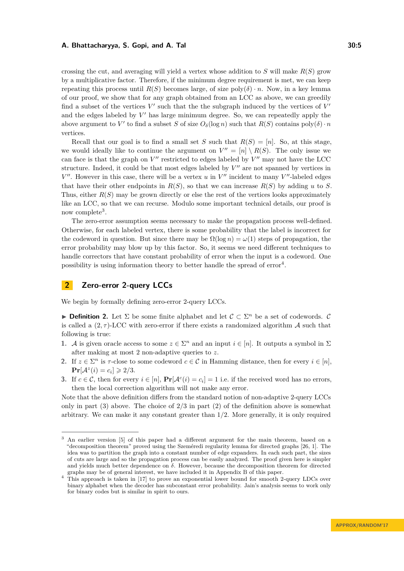crossing the cut, and averaging will yield a vertex whose addition to *S* will make  $R(S)$  grow by a multiplicative factor. Therefore, if the minimum degree requirement is met, we can keep repeating this process until  $R(S)$  becomes large, of size  $poly(\delta) \cdot n$ . Now, in a key lemma of our proof, we show that for any graph obtained from an LCC as above, we can greedily find a subset of the vertices  $V'$  such that the the subgraph induced by the vertices of  $V'$ and the edges labeled by  $V'$  has large minimum degree. So, we can repeatedly apply the above argument to  $V'$  to find a subset *S* of size  $O_\delta(\log n)$  such that  $R(S)$  contains  $poly(\delta) \cdot n$ vertices.

Recall that our goal is to find a small set *S* such that  $R(S) = [n]$ . So, at this stage, we would ideally like to continue the argument on  $V'' = [n] \setminus R(S)$ . The only issue we can face is that the graph on  $V''$  restricted to edges labeled by  $V''$  may not have the LCC structure. Indeed, it could be that most edges labeled by  $V''$  are not spanned by vertices in  $V''$ . However in this case, there will be a vertex  $u$  in  $V''$  incident to many  $V''$ -labeled edges that have their other endpoints in  $R(S)$ , so that we can increase  $R(S)$  by adding *u* to *S*. Thus, either  $R(S)$  may be grown directly or else the rest of the vertices looks approximately like an LCC, so that we can recurse. Modulo some important technical details, our proof is now complete<sup>[3](#page-4-0)</sup>.

The zero-error assumption seems necessary to make the propagation process well-defined. Otherwise, for each labeled vertex, there is some probability that the label is incorrect for the codeword in question. But since there may be  $\Omega(\log n) = \omega(1)$  steps of propagation, the error probability may blow up by this factor. So, it seems we need different techniques to handle correctors that have constant probability of error when the input is a codeword. One possibility is using information theory to better handle the spread of  $error<sup>4</sup>$  $error<sup>4</sup>$  $error<sup>4</sup>$ .

# **2 Zero-error 2-query LCCs**

We begin by formally defining zero-error 2-query LCCs.

**Definition 2.** Let  $\Sigma$  be some finite alphabet and let  $\mathcal{C} \subset \Sigma^n$  be a set of codewords.  $\mathcal{C}$ is called a  $(2, \tau)$ -LCC with zero-error if there exists a randomized algorithm  $\mathcal A$  such that following is true:

- **1.** A is given oracle access to some  $z \in \Sigma^n$  and an input  $i \in [n]$ . It outputs a symbol in  $\Sigma$ after making at most 2 non-adaptive queries to *z*.
- **2.** If  $z \in \Sigma^n$  is  $\tau$ -close to some codeword  $c \in \mathcal{C}$  in Hamming distance, then for every  $i \in [n]$ ,  $\Pr[\mathcal{A}^z(i) = c_i] \geq 2/3.$
- **3.** If  $c \in \mathcal{C}$ , then for every  $i \in [n]$ ,  $\Pr[\mathcal{A}^c(i) = c_i] = 1$  i.e. if the received word has no errors, then the local correction algorithm will not make any error.

Note that the above definition differs from the standard notion of non-adaptive 2-query LCCs only in part (3) above. The choice of 2*/*3 in part (2) of the definition above is somewhat arbitrary. We can make it any constant greater than 1*/*2. More generally, it is only required

<span id="page-4-0"></span><sup>3</sup> An earlier version [\[5\]](#page-12-12) of this paper had a different argument for the main theorem, based on a "decomposition theorem" proved using the Szeméredi regularity lemma for directed graphs [\[26,](#page-13-5) [1\]](#page-11-2). The idea was to partition the graph into a constant number of edge expanders. In each such part, the sizes of cuts are large and so the propagation process can be easily analyzed. The proof given here is simpler and yields much better dependence on *δ*. However, because the decomposition theorem for directed graphs may be of general interest, we have included it in Appendix [B](#page-14-0) of this paper.

<span id="page-4-1"></span><sup>&</sup>lt;sup>4</sup> This approach is taken in [\[17\]](#page-12-15) to prove an exponential lower bound for smooth 2-query LDCs over binary alphabet when the decoder has subconstant error probability. Jain's analysis seems to work only for binary codes but is similar in spirit to ours.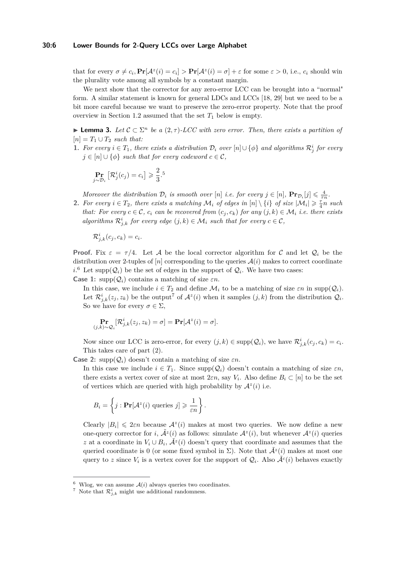#### **30:6 Lower Bounds for 2-Query LCCs over Large Alphabet**

that for every  $\sigma \neq c_i$ ,  $\Pr[\mathcal{A}^z(i) = c_i] > \Pr[\mathcal{A}^z(i) = \sigma] + \varepsilon$  for some  $\varepsilon > 0$ , i.e.,  $c_i$  should win the plurality vote among all symbols by a constant margin.

We next show that the corrector for any zero-error LCC can be brought into a "normal" form. A similar statement is known for general LDCs and LCCs [\[18,](#page-12-2) [29\]](#page-13-2) but we need to be a bit more careful because we want to preserve the zero-error property. Note that the proof overview in Section [1.2](#page-2-2) assumed that the set  $T_1$  below is empty.

<span id="page-5-2"></span>**► Lemma 3.** Let  $C \subset \Sigma^n$  be a  $(2, \tau)$ -LCC with zero error. Then, there exists a partition of  $[n] = T_1 \cup T_2$  *such that:* 

**1.** For every  $i \in T_1$ , there exists a distribution  $\mathcal{D}_i$  over  $[n] \cup \{\phi\}$  and algorithms  $\mathcal{R}_j^i$  for every  $j \in [n] \cup \{\phi\}$  *such that for every codeword*  $c \in \mathcal{C}$ *,* 

$$
\Pr_{j \sim \mathcal{D}_i} \left[ \mathcal{R}_j^i(c_j) = c_i \right] \geqslant \frac{2}{3}.
$$

*Moreover the distribution*  $D_i$  *is smooth over* [*n*] *i.e. for every*  $j \in [n]$ ,  $\Pr_{D_i}[j] \leq \frac{4}{\tau n}$ .

**2.** For every  $i \in T_2$ , there exists a matching  $\mathcal{M}_i$  of edges in  $[n] \setminus \{i\}$  of size  $|\mathcal{M}_i| \geq \frac{7}{4}n$  such *that:* For every  $c \in \mathcal{C}$ ,  $c_i$  can be recovered from  $(c_i, c_k)$  for any  $(j, k) \in \mathcal{M}_i$  *i.e. there exists algorithms*  $\mathcal{R}_{j,k}^i$  *for every edge*  $(j,k) \in \mathcal{M}_i$  *such that for every*  $c \in \mathcal{C}$ *,* 

$$
\mathcal{R}_{j,k}^i(c_j,c_k)=c_i.
$$

**Proof.** Fix  $\varepsilon = \tau/4$ . Let A be the local corrector algorithm for C and let  $Q_i$  be the distribution over 2-tuples of  $[n]$  corresponding to the queries  $\mathcal{A}(i)$  makes to correct coordinate  $i$ <sup>[6](#page-5-0)</sup> Let supp $(Q_i)$  be the set of edges in the support of  $Q_i$ . We have two cases: **Case 1:** supp $(Q_i)$  contains a matching of size  $\varepsilon n$ .

In this case, we include  $i \in T_2$  and define  $\mathcal{M}_i$  to be a matching of size  $\varepsilon n$  in supp $(\mathcal{Q}_i)$ . Let  $\mathcal{R}^i_{j,k}(z_j, z_k)$  be the output<sup>[7](#page-5-1)</sup> of  $\mathcal{A}^z(i)$  when it samples  $(j, k)$  from the distribution  $\mathcal{Q}_i$ . So we have for every  $\sigma \in \Sigma$ ,

$$
\Pr_{(j,k)\sim \mathcal{Q}_i}[\mathcal{R}^i_{j,k}(z_j,z_k)=\sigma]=\Pr[\mathcal{A}^z(i)=\sigma].
$$

Now since our LCC is zero-error, for every  $(j, k) \in \text{supp}(\mathcal{Q}_i)$ , we have  $\mathcal{R}^i_{j,k}(c_j, c_k) = c_i$ . This takes care of part (2).

**Case 2:** supp $(Q_i)$  doesn't contain a matching of size  $\varepsilon n$ .

In this case we include  $i \in T_1$ . Since  $\text{supp}(\mathcal{Q}_i)$  doesn't contain a matching of size  $\varepsilon n$ , there exists a vertex cover of size at most  $2\varepsilon n$ , say  $V_i$ . Also define  $B_i \subset [n]$  to be the set of vertices which are queried with high probability by  $\mathcal{A}^z(i)$  i.e.

$$
B_i = \left\{ j : \mathbf{Pr}[\mathcal{A}^z(i) \text{ queries } j] \geqslant \frac{1}{\varepsilon n} \right\}.
$$

Clearly  $|B_i| \leq 2\varepsilon n$  because  $A^z(i)$  makes at most two queries. We now define a new one-query corrector for *i*,  $\tilde{\mathcal{A}}^z(i)$  as follows: simulate  $\mathcal{A}^z(i)$ , but whenever  $\mathcal{A}^z(i)$  queries *z* at a coordinate in  $V_i \cup B_i$ ,  $\tilde{A}^z(i)$  doesn't query that coordinate and assumes that the queried coordinate is 0 (or some fixed symbol in  $\Sigma$ ). Note that  $\mathcal{A}^z(i)$  makes at most one query to *z* since  $V_i$  is a vertex cover for the support of  $\mathcal{Q}_i$ . Also  $\tilde{\mathcal{A}}^c(i)$  behaves exactly

<span id="page-5-0"></span> $6$  Wlog, we can assume  $A(i)$  always queries two coordinates.

<span id="page-5-1"></span><sup>&</sup>lt;sup>7</sup> Note that  $\mathcal{R}^i_{j,k}$  might use additional randomness.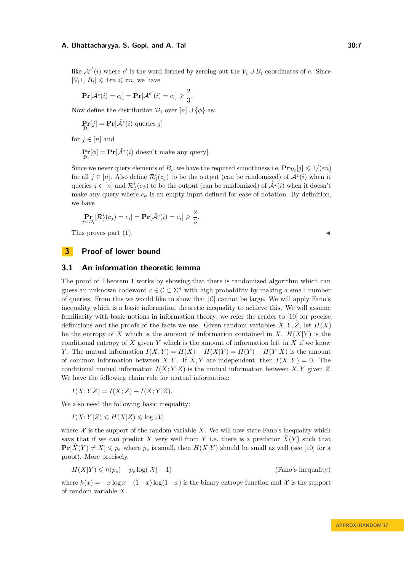like  $\mathcal{A}^{c'}(i)$  where  $c'$  is the word formed by zeroing out the  $V_i \cup B_i$  coordinates of  $c$ . Since  $|V_i \cup B_i| \leq 4\varepsilon n \leq \tau n$ , we have

$$
\Pr[\tilde{\mathcal{A}}^{c}(i) = c_i] = \Pr[\mathcal{A}^{c'}(i) = c_i] \geqslant \frac{2}{3}.
$$

Now define the distribution  $\mathcal{D}_i$  over  $[n] \cup {\phi}$  as:

$$
\Pr_{\mathcal{D}_i}[j] = \Pr[\tilde{\mathcal{A}}^z(i) \text{ queries } j]
$$

for  $j \in [n]$  and

$$
\Pr_{\mathcal{D}_i}[\phi] = \Pr[\tilde{\mathcal{A}}^z(i) \text{ doesn't make any query}].
$$

Since we never query elements of  $B_i$ , we have the required smoothness i.e.  $\mathbf{Pr}_{\mathcal{D}_i}[j] \leq 1/(\varepsilon n)$ for all  $j \in [n]$ . Also define  $\mathcal{R}^i_j(z_j)$  to be the output (can be randomized) of  $\tilde{\mathcal{A}}^z(i)$  when it queries  $j \in [n]$  and  $\mathcal{R}^i_\phi(c_\phi)$  to be the output (can be randomized) of  $\tilde{\mathcal{A}}^z(i)$  when it doesn't make any query where  $c_{\phi}$  is an empty input defined for ease of notation. By definition, we have

$$
\Pr_{j \sim \mathcal{D}_i} [\mathcal{R}_j^i(c_j) = c_i] = \Pr[\tilde{\mathcal{A}}^c(i) = c_i] \geqslant \frac{2}{3}.
$$

This proves part  $(1)$ .

# **3 Proof of lower bound**

### **3.1 An information theoretic lemma**

The proof of Theorem [1](#page-2-1) works by showing that there is randomized algorithm which can guess an unknown codeword  $c \in \mathcal{C} \subset \Sigma^n$  with high probability by making a small number of queries. From this we would like to show that  $|\mathcal{C}|$  cannot be large. We will apply Fano's inequality which is a basic information theoretic inequality to achieve this. We will assume familiarity with basic notions in information theory; we refer the reader to [\[10\]](#page-12-16) for precise definitions and the proofs of the facts we use. Given random variables  $X, Y, Z$ , let  $H(X)$ be the entropy of X which is the amount of information contained in X.  $H(X|Y)$  is the conditional entropy of *X* given *Y* which is the amount of information left in *X* if we know *Y*. The mutual information  $I(X;Y) = H(X) - H(X|Y) = H(Y) - H(Y|X)$  is the amount of common information between *X,Y*. If *X,Y* are independent, then  $I(X;Y) = 0$ . The conditional mutual information  $I(X; Y|Z)$  is the mutual information between X, Y given Z. We have the following chain rule for mutual information:

 $I(X; YZ) = I(X; Z) + I(X; Y|Z)$ .

We also need the following basic inequality:

 $I(X;Y|Z) \le H(X|Z) \le \log |\mathcal{X}|$ 

where  $X$  is the support of the random variable  $X$ . We will now state Fano's inequality which says that if we can predict *X* very well from *Y* i.e. there is a predictor  $X(Y)$  such that  $\Pr[\hat{X}(Y) \neq X] \leq p_e$  where  $p_e$  is small, then  $H(X|Y)$  should be small as well (see [\[10\]](#page-12-16) for a proof). More precisely,

$$
H(X|Y) \leq h(p_e) + p_e \log(|\mathcal{X}| - 1)
$$
 (Fano's inequality)

where  $h(x) = -x \log x - (1-x) \log(1-x)$  is the binary entropy function and X is the support of random variable *X*.

**APPROX/RANDOM'17**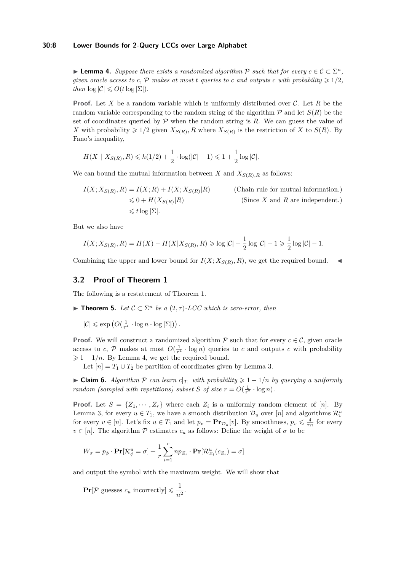### **30:8 Lower Bounds for 2-Query LCCs over Large Alphabet**

<span id="page-7-1"></span>**► Lemma 4.** Suppose there exists a randomized algorithm  $P$  such that for every  $c \in C \subset \Sigma^n$ , *given oracle access to c,*  $P$  *makes at most t queries to c and outputs c with probability*  $\geq 1/2$ *, then*  $\log |\mathcal{C}| \le O(t \log |\mathcal{\Sigma}|)$ *.* 

**Proof.** Let *X* be a random variable which is uniformly distributed over C. Let *R* be the random variable corresponding to the random string of the algorithm  $\mathcal{P}$  and let  $S(R)$  be the set of coordinates queried by  $P$  when the random string is  $R$ . We can guess the value of *X* with probability  $\geq 1/2$  given  $X_{S(R)}$ , *R* where  $X_{S(R)}$  is the restriction of *X* to  $S(R)$ . By Fano's inequality,

$$
H(X \mid X_{S(R)}, R) \leq h(1/2) + \frac{1}{2} \cdot \log(|C| - 1) \leq 1 + \frac{1}{2} \log|C|.
$$

We can bound the mutual information between *X* and  $X_{S(R),R}$  as follows:

$$
I(X; X_{S(R)}, R) = I(X; R) + I(X; X_{S(R)}|R)
$$
 (Chain rule for mutual information.)  

$$
\leq 0 + H(X_{S(R)}|R)
$$
 (Since X and R are independent.)  

$$
\leq t \log |\Sigma|.
$$

But we also have

$$
I(X; X_{S(R)}, R) = H(X) - H(X|X_{S(R)}, R) \geq \log |\mathcal{C}| - \frac{1}{2} \log |\mathcal{C}| - 1 \geq \frac{1}{2} \log |\mathcal{C}| - 1.
$$

Combining the upper and lower bound for  $I(X; X_{S(R)}, R)$ , we get the required bound.

# **3.2 Proof of Theorem [1](#page-2-1)**

The following is a restatement of Theorem [1.](#page-2-1)

<span id="page-7-0"></span>**► Theorem 5.** Let  $C \subset \Sigma^n$  be a  $(2, \tau)$ -LCC which is zero-error, then

 $|\mathcal{C}| \leqslant \exp\left(O(\frac{1}{\tau^4}\cdot \log n \cdot \log |\Sigma|)\right).$ 

**Proof.** We will construct a randomized algorithm  $\mathcal{P}$  such that for every  $c \in \mathcal{C}$ , given oracle access to *c*,  $P$  makes at most  $O(\frac{1}{\tau^4} \cdot \log n)$  queries to *c* and outputs *c* with probability  $\geq 1 - 1/n$ . By Lemma [4,](#page-7-1) we get the required bound.

Let  $[n] = T_1 \cup T_2$  be partition of coordinates given by Lemma [3.](#page-5-2)

<span id="page-7-2"></span>**► Claim 6.** Algorithm  $\mathcal{P}$  can learn  $c|_{T_1}$  with probability  $\geq 1 - 1/n$  by querying a uniformly *random (sampled with repetitions) subset S of size*  $r = O(\frac{1}{\tau^2} \cdot \log n)$ *.* 

**Proof.** Let  $S = \{Z_1, \dots, Z_r\}$  where each  $Z_i$  is a uniformly random element of [*n*]. By Lemma [3,](#page-5-2) for every  $u \in T_1$ , we have a smooth distribution  $\mathcal{D}_u$  over  $[n]$  and algorithms  $\mathcal{R}_v^u$ for every  $v \in [n]$ . Let's fix  $u \in T_1$  and let  $p_v = \mathbf{Pr}_{\mathcal{D}_u}[v]$ . By smoothness,  $p_v \leq \frac{4}{\tau n}$  for every  $v \in [n]$ . The algorithm P estimates  $c_u$  as follows: Define the weight of  $\sigma$  to be

$$
W_{\sigma} = p_{\phi} \cdot \mathbf{Pr}[\mathcal{R}_{\phi}^{u} = \sigma] + \frac{1}{r} \sum_{i=1}^{r} n p_{Z_i} \cdot \mathbf{Pr}[\mathcal{R}_{Z_i}^{u}(c_{Z_i}) = \sigma]
$$

and output the symbol with the maximum weight. We will show that

 $\Pr[\mathcal{P} \text{ guesses } c_u \text{ incorrectly}] \leqslant \frac{1}{\epsilon_0^2}$  $\frac{1}{n^2}$ .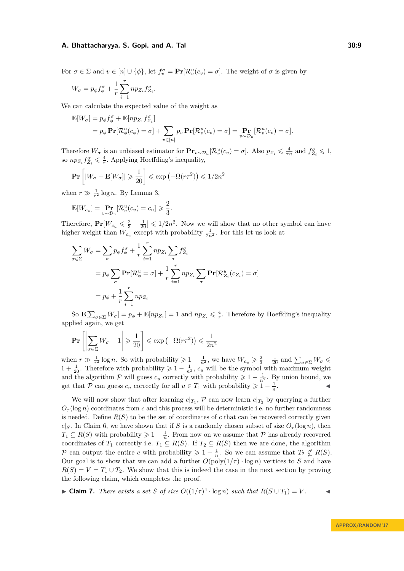For  $\sigma \in \Sigma$  and  $v \in [n] \cup \{\phi\}$ , let  $f_v^{\sigma} = \Pr[\mathcal{R}_v^u(c_v) = \sigma]$ . The weight of  $\sigma$  is given by

$$
W_{\sigma}=p_{\phi}f_{\phi}^{\sigma}+\frac{1}{r}\sum_{i=1}^{r}np_{Z_{i}}f_{Z_{i}}^{\sigma}.
$$

We can calculate the expected value of the weight as

$$
\mathbf{E}[W_{\sigma}] = p_{\phi} f_{\phi}^{\sigma} + \mathbf{E}[np_{Z_1} f_{Z_1}^{\sigma}]
$$
  
=  $p_{\phi} \mathbf{Pr}[\mathcal{R}_{\phi}^u(c_{\phi}) = \sigma] + \sum_{v \in [n]} p_v \mathbf{Pr}[\mathcal{R}_v^u(c_v) = \sigma] = \mathbf{Pr}_{v \sim \mathcal{D}_u}[\mathcal{R}_v^u(c_v) = \sigma].$ 

Therefore  $W_{\sigma}$  is an unbiased estimator for  $\mathbf{Pr}_{v \sim \mathcal{D}_u}[\mathcal{R}_v^u(c_v) = \sigma]$ . Also  $p_{Z_i} \leq \frac{4}{\tau n}$  and  $f_{Z_i}^{\sigma} \leq 1$ , so  $np_{Z_i} f_{Z_i}^{\sigma} \leq \frac{4}{\tau}$ . Applying Hoeffding's inequality,

$$
\mathbf{Pr}\left[|W_{\sigma} - \mathbf{E}[W_{\sigma}]| \geqslant \frac{1}{20}\right] \leqslant \exp\left(-\Omega(r\tau^2)\right) \leqslant 1/2n^2
$$

when  $r \gg \frac{1}{\tau^2} \log n$ . By Lemma [3,](#page-5-2)

$$
\mathbf{E}[W_{c_u}] = \Pr_{v \sim \mathcal{D}_u}[\mathcal{R}_v^u(c_v) = c_u] \geqslant \frac{2}{3}.
$$

Therefore,  $Pr[W_{c_u} \leq \frac{2}{3} - \frac{1}{20}] \leq 1/2n^2$ . Now we will show that no other symbol can have higher weight than  $W_{c_u}$  except with probability  $\frac{1}{2n^2}$ . For this let us look at

$$
\sum_{\sigma \in \Sigma} W_{\sigma} = \sum_{\sigma} p_{\phi} f_{\phi}^{\sigma} + \frac{1}{r} \sum_{i=1}^{r} n p_{Z_i} \sum_{\sigma} f_{Z_i}^{\sigma}
$$
  
=  $p_{\phi} \sum_{\sigma} \mathbf{Pr} [\mathcal{R}_{\phi}^{u} = \sigma] + \frac{1}{r} \sum_{i=1}^{r} n p_{Z_i} \sum_{\sigma} \mathbf{Pr} [\mathcal{R}_{Z_i}^{u}(c_{Z_i}) = \sigma]$   
=  $p_{\phi} + \frac{1}{r} \sum_{i=1}^{r} n p_{Z_i}$ 

So  $\mathbf{E}[\sum_{\sigma \in \Sigma} W_{\sigma}] = p_{\phi} + \mathbf{E}[np_{Z_1}] = 1$  and  $np_{Z_i} \leq \frac{4}{\tau}$ . Therefore by Hoeffding's inequality applied again, we get

$$
\Pr\left[\left|\sum_{\sigma\in\Sigma}W_{\sigma}-1\right|\geqslant\frac{1}{20}\right]\leqslant\exp\left(-\Omega(r\tau^{2})\right)\leqslant\frac{1}{2n^{2}}
$$

when  $r \gg \frac{1}{\tau^2} \log n$ . So with probability  $\geq 1 - \frac{1}{n^2}$ , we have  $W_{c_u} \geq \frac{2}{3} - \frac{1}{20}$  and  $\sum_{\sigma \in \Sigma} W_{\sigma} \leq$ 1 +  $\frac{1}{20}$ . Therefore with probability  $\geq 1 - \frac{1}{n^2}$ ,  $c_u$  will be the symbol with maximum weight and the algorithm P will guess  $c_u$  correctly with probability  $\geq 1 - \frac{1}{n^2}$ . By union bound, we get that P can guess  $c_u$  correctly for all  $u \in T_1$  with probability  $\geq 1 - \frac{1}{n}$  $\mathbf{I}$  and  $\mathbf{I}$  and  $\mathbf{I}$ 

We will now show that after learning  $c|_{T_1}$ ,  $\mathcal P$  can now learn  $c|_{T_2}$  by querying a further  $O_{\tau}(\log n)$  coordinates from *c* and this process will be deterministic i.e. no further randomness is needed. Define  $R(S)$  to be the set of coordinates of c that can be recovered correctly given *c*|*S*. In Claim [6,](#page-7-2) we have shown that if *S* is a randomly chosen subset of size  $O_7(\log n)$ , then  $T_1 \subseteq R(S)$  with probability  $\geq 1 - \frac{1}{n}$ . From now on we assume that  $P$  has already recovered coordinates of  $T_1$  correctly i.e.  $T_1 \subseteq R(S)$ . If  $T_2 \subseteq R(S)$  then we are done, the algorithm P can output the entire *c* with probability  $\geq 1 - \frac{1}{n}$ . So we can assume that  $T_2 \nsubseteq R(S)$ . Our goal is to show that we can add a further  $O(poly(1/\tau) \cdot log n)$  vertices to *S* and have  $R(S) = V = T_1 \cup T_2$ . We show that this is indeed the case in the next section by proving the following claim, which completes the proof.

<span id="page-8-0"></span>► **Claim 7.** *There exists a set S of size*  $O((1/\tau)^4 \cdot \log n)$  *such that*  $R(S \cup T_1) = V$ .  $\triangleleft$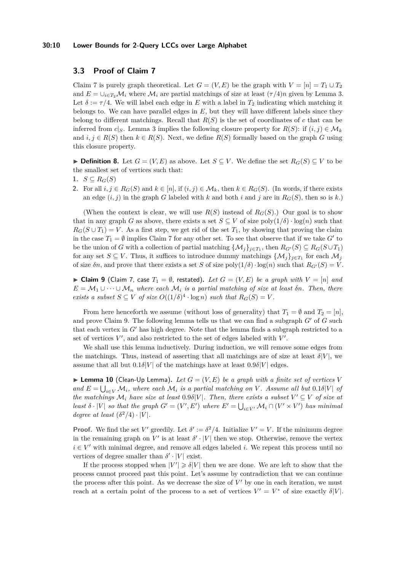#### **30:10 Lower Bounds for 2-Query LCCs over Large Alphabet**

# **3.3 Proof of Claim [7](#page-8-0)**

Claim [7](#page-8-0) is purely graph theoretical. Let  $G = (V, E)$  be the graph with  $V = [n] = T_1 \cup T_2$ and  $E = \bigcup_{i \in T_2} \mathcal{M}_i$  where  $\mathcal{M}_i$  are partial matchings of size at least  $(\tau/4)n$  given by Lemma [3.](#page-5-2) Let  $\delta := \tau/4$ . We will label each edge in E with a label in  $T_2$  indicating which matching it belongs to. We can have parallel edges in *E*, but they will have different labels since they belong to different matchings. Recall that  $R(S)$  is the set of coordinates of  $c$  that can be inferred from *c*|*S*. Lemma [3](#page-5-2) implies the following closure property for  $R(S)$ : if  $(i, j) \in M_k$ and  $i, j \in R(S)$  then  $k \in R(S)$ . Next, we define  $R(S)$  formally based on the graph *G* using this closure property.

▶ **Definition 8.** Let  $G = (V, E)$  as above. Let  $S \subseteq V$ . We define the set  $R_G(S) \subseteq V$  to be the smallest set of vertices such that:

- 1.  $S \subseteq R_G(S)$
- **2.** For all *i*, *j* ∈ *R<sub>G</sub>*(*S*) and *k* ∈ [*n*], if (*i*, *j*) ∈ *M<sub>k</sub>*, then *k* ∈ *R<sub>G</sub>*(*S*). (In words, if there exists an edge  $(i, j)$  in the graph *G* labeled with *k* and both *i* and *j* are in  $R_G(S)$ , then so is *k*.)

(When the context is clear, we will use  $R(S)$  instead of  $R_G(S)$ .) Our goal is to show that in any graph *G* as above, there exists a set  $S \subseteq V$  of size  $\text{poly}(1/\delta) \cdot \log(n)$  such that  $R_G(S \cup T_1) = V$ . As a first step, we get rid of the set  $T_1$ , by showing that proving the claim in the case  $T_1 = \emptyset$  implies Claim [7](#page-8-0) for any other set. To see that observe that if we take  $G'$  to be the union of *G* with a collection of partial matching  $\{M_j\}_{j\in T_1}$ , then  $R_{G'}(S) \subseteq R_G(S \cup T_1)$ for any set  $S \subseteq V$ . Thus, it suffices to introduce dummy matchings  $\{\mathcal{M}_j\}_{j\in T_1}$  for each  $\mathcal{M}_j$ of size  $\delta n$ , and prove that there exists a set *S* of size  $\text{poly}(1/\delta) \cdot \text{log}(n)$  such that  $R_{G'}(S) = V$ .

<span id="page-9-0"></span>▶ Claim 9 (Claim [7,](#page-8-0) case  $T_1 = ∅$ , restated). Let  $G = (V, E)$  be a graph with  $V = [n]$  and  $E = M_1 \cup \cdots \cup M_n$  where each  $M_i$  *is a partial matching of size at least*  $\delta n$ *. Then, there exists a subset*  $S \subseteq V$  *of size*  $O((1/\delta)^4 \cdot \log n)$  *such that*  $R_G(S) = V$ .

From here henceforth we assume (without loss of generality) that  $T_1 = \emptyset$  and  $T_2 = [n]$ , and prove Claim [9.](#page-9-0) The following lemma tells us that we can find a subgraph  $G'$  of  $G$  such that each vertex in  $G<sup>′</sup>$  has high degree. Note that the lemma finds a subgraph restricted to a set of vertices  $V'$ , and also restricted to the set of edges labeled with  $V'$ .

We shall use this lemma inductively. During induction, we will remove some edges from the matchings. Thus, instead of asserting that all matchings are of size at least  $\delta|V|$ , we assume that all but  $0.1\delta|V|$  of the matchings have at least  $0.9\delta|V|$  edges.

<span id="page-9-1"></span>**Example 10** (Clean-Up Lemma). Let  $G = (V, E)$  be a graph with a finite set of vertices V *and*  $E = \bigcup_{i \in V} M_i$ *, where each*  $M_i$  *is a partial matching on V*. Assume all but  $0.1\delta|V|$  *of the matchings*  $\mathcal{M}_i$  *have size at least* 0.9*δ*| $V$ |*. Then, there exists a subset*  $V' \subseteq V$  *of size at least*  $\delta \cdot |V|$  *so that the graph*  $G' = (V', E')$  *where*  $E' = \bigcup_{i \in V'} \mathcal{M}_i \cap (V' \times V')$  *has minimal degree at least*  $(\delta^2/4) \cdot |V|$ *.* 

**Proof.** We find the set *V*' greedily. Let  $\delta' := \delta^2/4$ . Initialize *V*' = *V*. If the minimum degree in the remaining graph on  $V'$  is at least  $\delta' \cdot |V|$  then we stop. Otherwise, remove the vertex  $i \in V'$  with minimal degree, and remove all edges labeled *i*. We repeat this process until no vertices of degree smaller than  $\delta' \cdot |V|$  exist.

If the process stopped when  $|V'| \geq \delta |V|$  then we are done. We are left to show that the process cannot proceed past this point. Let's assume by contradiction that we can continue the process after this point. As we decrease the size of  $V'$  by one in each iteration, we must reach at a certain point of the process to a set of vertices  $V' = V^*$  of size exactly  $\delta|V|$ .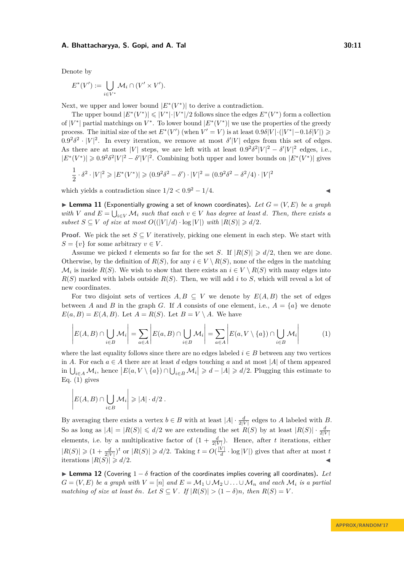Denote by

$$
E^*(V') := \bigcup_{i \in V^*} \mathcal{M}_i \cap (V' \times V').
$$

Next, we upper and lower bound  $|E^*(V^*)|$  to derive a contradiction.

The upper bound  $|E^*(V^*)| \leq |V^*| \cdot |V^*|/2$  follows since the edges  $E^*(V^*)$  form a collection of  $|V^*|$  partial matchings on  $V^*$ . To lower bound  $|E^*(V^*)|$  we use the properties of the greedy process. The initial size of the set  $E^*(V')$  (when  $V' = V$ ) is at least  $0.9\delta|V| \cdot (|V^*| - 0.1\delta|V|) \ge$  $0.9^2 \delta^2 \cdot |V|^2$ . In every iteration, we remove at most  $\delta'|V|$  edges from this set of edges. As there are at most |*V*| steps, we are left with at least  $0.9^2 \delta^2 |V|^2 - \delta' |V|^2$  edges, i.e.,  $|E^*(V^*)| \geqslant 0.9^2 \delta^2 |V|^2 - \delta' |V|^2$ . Combining both upper and lower bounds on  $|E^*(V^*)|$  gives

$$
\frac{1}{2} \cdot \delta^2 \cdot |V|^2 \geqslant |E^*(V^*)| \geqslant (0.9^2 \delta^2 - \delta') \cdot |V|^2 = (0.9^2 \delta^2 - \delta^2/4) \cdot |V|^2
$$

which yields a contradiction since  $1/2 < 0.9^2 - 1/4$ .

<span id="page-10-2"></span>**Exponentially growing a set of known coordinates).** Let  $G = (V, E)$  be a graph *with V* and  $E = \bigcup_{i \in V} M_i$  *such that each*  $v \in V$  *has degree at least d. Then, there exists a subset*  $S \subseteq V$  *of size at most*  $O((|V|/d) \cdot \log |V|)$  *with*  $|R(S)| \ge d/2$ *.* 

**Proof.** We pick the set  $S \subseteq V$  iteratively, picking one element in each step. We start with  $S = \{v\}$  for some arbitrary  $v \in V$ .

Assume we picked *t* elements so far for the set *S*. If  $|R(S)| \ge d/2$ , then we are done. Otherwise, by the definition of  $R(S)$ , for any  $i \in V \setminus R(S)$ , none of the edges in the matching  $\mathcal{M}_i$  is inside  $R(S)$ . We wish to show that there exists an  $i \in V \setminus R(S)$  with many edges into  $R(S)$  marked with labels outside  $R(S)$ . Then, we will add *i* to *S*, which will reveal a lot of new coordinates.

For two disjoint sets of vertices  $A, B \subseteq V$  we denote by  $E(A, B)$  the set of edges between *A* and *B* in the graph *G*. If *A* consists of one element, i.e.,  $A = \{a\}$  we denote  $E(a, B) = E(A, B)$ . Let  $A = R(S)$ . Let  $B = V \setminus A$ . We have

$$
\left| E(A, B) \cap \bigcup_{i \in B} \mathcal{M}_i \right| = \sum_{a \in A} \left| E(a, B) \cap \bigcup_{i \in B} \mathcal{M}_i \right| = \sum_{a \in A} \left| E(a, V \setminus \{a\}) \cap \bigcup_{i \in B} \mathcal{M}_i \right| \tag{1}
$$

where the last equality follows since there are no edges labeled  $i \in B$  between any two vertices in *A*. For each  $a \in A$  there are at least *d* edges touching *a* and at most |*A*| of them appeared in  $\bigcup_{i\in A} M_i$ , hence  $|E(a, V \setminus \{a\}) \cap \bigcup_{i\in B} M_i| \geq d - |A| \geq d/2$ . Plugging this estimate to Eq.  $(1)$  gives

$$
\left| E(A, B) \cap \bigcup_{i \in B} \mathcal{M}_i \right| \geqslant |A| \cdot d/2.
$$

 $\mathbf{r}$ 

By averaging there exists a vertex  $b \in B$  with at least  $|A| \cdot \frac{d}{2|V|}$  edges to *A* labeled with *B*. So as long as  $|A| = |R(S)| \le d/2$  we are extending the set  $R(S)$  by at least  $|R(S)| \cdot \frac{d}{2|V|}$ elements, i.e. by a multiplicative factor of  $(1 + \frac{d}{2|V|})$ . Hence, after *t* iterations, either  $|R(S)| \geq (1 + \frac{d}{2|V|})^t$  or  $|R(S)| \geq d/2$ . Taking  $t = O(\frac{|V|}{d})$  $\frac{V}{d} \cdot \log |V|$ ) gives that after at most *t* iterations  $|R(S)| \ge d/2$ .

<span id="page-10-1"></span>**► Lemma 12** (Covering  $1 - \delta$  fraction of the coordinates implies covering all coordinates). Let  $G = (V, E)$  *be a graph with*  $V = [n]$  *and*  $E = \mathcal{M}_1 \cup \mathcal{M}_2 \cup \ldots \cup \mathcal{M}_n$  *and each*  $\mathcal{M}_i$  *is a partial matching of size at least*  $\delta n$ *. Let*  $S \subseteq V$ . If  $|R(S)| > (1 - \delta)n$ , then  $R(S) = V$ .

<span id="page-10-0"></span>
$$
\blacktriangleleft
$$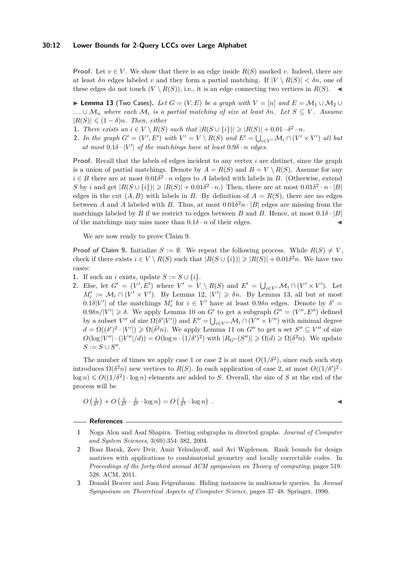**Proof.** Let  $v \in V$ . We show that there is an edge inside  $R(S)$  marked v. Indeed, there are at least  $\delta n$  edges labeled v and they form a partial matching. If  $|V \setminus R(S)| < \delta n$ , one of these edges do not touch  $(V \setminus R(S))$ , i.e., it is an edge connecting two vertices in  $R(S)$ .

<span id="page-11-3"></span>**► Lemma 13** (Two Cases). Let  $G = (V, E)$  be a graph with  $V = [n]$  and  $E = M_1 \cup M_2 \cup M_3$ *. . .* ∪ M*<sup>n</sup> where each* M*<sup>i</sup> is a partial matching of size at least δn. Let S* ⊆ *V . Assume*  $|R(S)|$  ≤  $(1 − δ)n$ *. Then, either* 

- **1.** *There exists an*  $i \in V \setminus R(S)$  *such that*  $|R(S \cup \{i\})| \geq |R(S)| + 0.01 \cdot \delta^2 \cdot n$ *.*
- **2.** *In the graph*  $G' = (V', E')$  *with*  $V' = V \setminus R(S)$  *and*  $E' = \bigcup_{i \in V'} \mathcal{M}_i \cap (V' \times V')$  *all but*  $at \ most \ 0.1\delta \cdot |V'| \ of \ the \ matchings \ have \ at \ least \ 0.9\delta \cdot n \ edges.$

**Proof.** Recall that the labels of edges incident to any vertex *i* are distinct, since the graph is a union of partial matchings. Denote by  $A = R(S)$  and  $B = V \setminus R(S)$ . Assume for any  $i \in B$  there are at most  $0.01\delta^2 \cdot n$  edges to *A* labeled with labels in *B*. (Otherwise, extend *S* by *i* and get  $|R(S \cup \{i\})| \geq |R(S)| + 0.01\delta^2 \cdot n$ . Then, there are at most  $0.01\delta^2 \cdot n \cdot |B|$ edges in the cut  $(A, B)$  with labels in *B*. By definition of  $A = R(S)$ , there are no edges between *A* and *A* labeled with *B*. Thus, at most  $0.01\delta^2 n \cdot |B|$  edges are missing from the matchings labeled by *B* if we restrict to edges between *B* and *B*. Hence, at most  $0.1\delta \cdot |B|$ of the matchings may miss more than  $0.1\delta \cdot n$  of their edges.

We are now ready to prove Claim [9.](#page-9-0)

**Proof of Claim [9.](#page-9-0)** Initialize  $S := \emptyset$ . We repeat the following process. While  $R(S) \neq V$ , check if there exists  $i \in V \setminus R(S)$  such that  $|R(S \cup \{i\})| \geq |R(S)| + 0.01\delta^2 n$ . We have two cases:

- 1. If such an *i* exists, update  $S := S \cup \{i\}.$
- 2. Else, let  $G' = (V', E')$  where  $V' = V \setminus R(S)$  and  $E' = \bigcup_{i \in V'} M_i \cap (V' \times V')$ . Let  $M'_i := \mathcal{M}_i \cap (V' \times V')$ . By Lemma [12,](#page-10-1)  $|V'| \geq \delta n$ . By Lemma [13,](#page-11-3) all but at most  $0.1\delta|V'|$  of the matchings  $M'_i$  for  $i \in V'$  have at least  $0.9\delta n$  edges. Denote by  $\delta' =$  $0.9\delta n/|V'| \geq \delta$ . We apply Lemma [10](#page-9-1) on *G'* to get a subgraph  $G'' = (V'', E'')$  defined by a subset *V*<sup>*n*</sup> of size  $\Omega(\delta'|V'|)$  and  $E'' = \bigcup_{i \in V''} M_i \cap (V'' \times V'')$  with minimal degree  $d = \Omega((\delta')^2 \cdot |V'|) \geq \Omega(\delta^2 n)$ . We apply Lemma [11](#page-10-2) on *G*<sup>n</sup> to get a set  $S'' \subseteq V''$  of size  $O(\log |V''| \cdot (|V''|/d)) = O(\log n \cdot (1/\delta')^2)$  with  $|R_{G''}(S'')| \geq \Omega(d) \geq \Omega(\delta^2 n)$ . We update  $S := S \cup S''$ .

The number of times we apply case 1 or case 2 is at most  $O(1/\delta^2)$ , since each such step introduces  $\Omega(\delta^2 n)$  new vertices to  $R(S)$ . In each application of case 2, at most  $O((1/\delta))^2$ .  $\log n$ )  $\leq O((1/\delta^2) \cdot \log n)$  elements are added to *S*. Overall, the size of *S* at the end of the process will be

$$
O\left(\frac{1}{\delta^2}\right) + O\left(\frac{1}{\delta^2} \cdot \frac{1}{\delta^2} \cdot \log n\right) = O\left(\frac{1}{\delta^4} \cdot \log n\right) \ .
$$

#### **References**

- <span id="page-11-2"></span>**1** Noga Alon and Asaf Shapira. Testing subgraphs in directed graphs. *Journal of Computer and System Sciences*, 3(69):354–382, 2004.
- <span id="page-11-1"></span>**2** Boaz Barak, Zeev Dvir, Amir Yehudayoff, and Avi Wigderson. Rank bounds for design matrices with applications to combinatorial geometry and locally correctable codes. In *Proceedings of the forty-third annual ACM symposium on Theory of computing*, pages 519– 528. ACM, 2011.
- <span id="page-11-0"></span>**3** Donald Beaver and Joan Feigenbaum. Hiding instances in multioracle queries. In *Annual Symposium on Theoretical Aspects of Computer Science*, pages 37–48. Springer, 1990.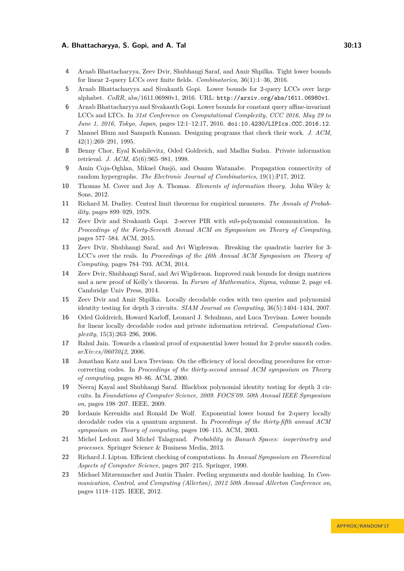- <span id="page-12-10"></span>**4** Arnab Bhattacharyya, Zeev Dvir, Shubhangi Saraf, and Amir Shpilka. Tight lower bounds for linear 2-query LCCs over finite fields. *Combinatorica*, 36(1):1–36, 2016.
- <span id="page-12-12"></span>**5** Arnab Bhattacharyya and Sivakanth Gopi. Lower bounds for 2-query LCCs over large alphabet. *CoRR*, abs/1611.06980v1, 2016. URL: <http://arxiv.org/abs/1611.06980v1>.
- <span id="page-12-17"></span>**6** Arnab Bhattacharyya and Sivakanth Gopi. Lower bounds for constant query affine-invariant LCCs and LTCs. In *31st Conference on Computational Complexity, CCC 2016, May 29 to June 1, 2016, Tokyo, Japan*, pages 12:1–12:17, 2016. [doi:10.4230/LIPIcs.CCC.2016.12](http://dx.doi.org/10.4230/LIPIcs.CCC.2016.12).
- <span id="page-12-1"></span>**7** Manuel Blum and Sampath Kannan. Designing programs that check their work. *J. ACM*, 42(1):269–291, 1995.
- <span id="page-12-7"></span>**8** Benny Chor, Eyal Kushilevitz, Oded Goldreich, and Madhu Sudan. Private information retrieval. *J. ACM*, 45(6):965–981, 1998.
- <span id="page-12-13"></span>**9** Amin Coja-Oghlan, Mikael Onsjö, and Osamu Watanabe. Propagation connectivity of random hypergraphs. *The Electronic Journal of Combinatorics*, 19(1):P17, 2012.
- <span id="page-12-16"></span>**10** Thomas M. Cover and Joy A. Thomas. *Elements of information theory*. John Wiley & Sons, 2012.
- <span id="page-12-18"></span>**11** Richard M. Dudley. Central limit theorems for empirical measures. *The Annals of Probability*, pages 899–929, 1978.
- <span id="page-12-11"></span>**12** Zeev Dvir and Sivakanth Gopi. 2-server PIR with sub-polynomial communication. In *Proceedings of the Forty-Seventh Annual ACM on Symposium on Theory of Computing*, pages 577–584. ACM, 2015.
- <span id="page-12-6"></span>**13** Zeev Dvir, Shubhangi Saraf, and Avi Wigderson. Breaking the quadratic barrier for 3- LCC's over the reals. In *Proceedings of the 46th Annual ACM Symposium on Theory of Computing*, pages 784–793. ACM, 2014.
- <span id="page-12-5"></span>**14** Zeev Dvir, Shubhangi Saraf, and Avi Wigderson. Improved rank bounds for design matrices and a new proof of Kelly's theorem. In *Forum of Mathematics, Sigma*, volume 2, page e4. Cambridge Univ Press, 2014.
- <span id="page-12-3"></span>**15** Zeev Dvir and Amir Shpilka. Locally decodable codes with two queries and polynomial identity testing for depth 3 circuits. *SIAM Journal on Computing*, 36(5):1404–1434, 2007.
- <span id="page-12-8"></span>**16** Oded Goldreich, Howard Karloff, Leonard J. Schulman, and Luca Trevisan. Lower bounds for linear locally decodable codes and private information retrieval. *Computational Complexity*, 15(3):263–296, 2006.
- <span id="page-12-15"></span>**17** Rahul Jain. Towards a classical proof of exponential lower bound for 2-probe smooth codes. *arXiv:cs/0607042*, 2006.
- <span id="page-12-2"></span>**18** Jonathan Katz and Luca Trevisan. On the efficiency of local decoding procedures for errorcorrecting codes. In *Proceedings of the thirty-second annual ACM symposium on Theory of computing*, pages 80–86. ACM, 2000.
- <span id="page-12-4"></span>**19** Neeraj Kayal and Shubhangi Saraf. Blackbox polynomial identity testing for depth 3 circuits. In *Foundations of Computer Science, 2009. FOCS'09. 50th Annual IEEE Symposium on*, pages 198–207. IEEE, 2009.
- <span id="page-12-9"></span>**20** Iordanis Kerenidis and Ronald De Wolf. Exponential lower bound for 2-query locally decodable codes via a quantum argument. In *Proceedings of the thirty-fifth annual ACM symposium on Theory of computing*, pages 106–115. ACM, 2003.
- <span id="page-12-19"></span>**21** Michel Ledoux and Michel Talagrand. *Probability in Banach Spaces: isoperimetry and processes*. Springer Science & Business Media, 2013.
- <span id="page-12-0"></span>**22** Richard J. Lipton. Efficient checking of computations. In *Annual Symposium on Theoretical Aspects of Computer Science*, pages 207–215. Springer, 1990.
- <span id="page-12-14"></span>**23** Michael Mitzenmacher and Justin Thaler. Peeling arguments and double hashing. In *Communication, Control, and Computing (Allerton), 2012 50th Annual Allerton Conference on*, pages 1118–1125. IEEE, 2012.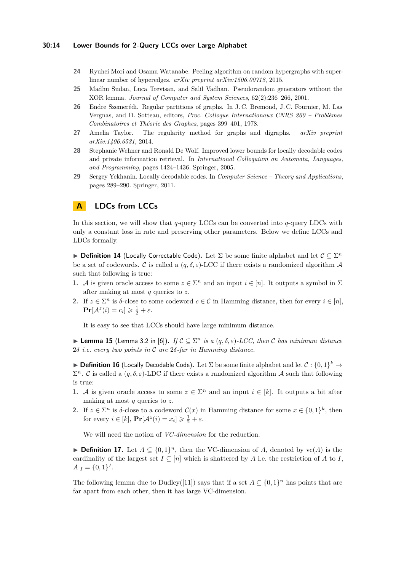#### **30:14 Lower Bounds for 2-Query LCCs over Large Alphabet**

- <span id="page-13-4"></span>**24** Ryuhei Mori and Osamu Watanabe. Peeling algorithm on random hypergraphs with superlinear number of hyperedges. *arXiv preprint arXiv:1506.00718*, 2015.
- <span id="page-13-1"></span>**25** Madhu Sudan, Luca Trevisan, and Salil Vadhan. Pseudorandom generators without the XOR lemma. *Journal of Computer and System Sciences*, 62(2):236–266, 2001.
- <span id="page-13-5"></span>**26** Endre Szemerédi. Regular partitions of graphs. In J. C. Bremond, J. C. Fournier, M. Las Vergnas, and D. Sotteau, editors, *Proc. Colloque Internationaux CNRS 260 – Problèmes Combinatoires et Théorie des Graphes*, pages 399–401, 1978.
- <span id="page-13-7"></span>**27** Amelia Taylor. The regularity method for graphs and digraphs. *arXiv preprint arXiv:1406.6531*, 2014.
- <span id="page-13-3"></span>**28** Stephanie Wehner and Ronald De Wolf. Improved lower bounds for locally decodable codes and private information retrieval. In *International Colloquium on Automata, Languages, and Programming*, pages 1424–1436. Springer, 2005.
- <span id="page-13-2"></span>**29** Sergey Yekhanin. Locally decodable codes. In *Computer Science – Theory and Applications*, pages 289–290. Springer, 2011.

# <span id="page-13-0"></span>**A LDCs from LCCs**

In this section, we will show that *q*-query LCCs can be converted into *q*-query LDCs with only a constant loss in rate and preserving other parameters. Below we define LCCs and LDCs formally.

**► Definition 14** (Locally Correctable Code). Let  $\Sigma$  be some finite alphabet and let  $\mathcal{C} \subseteq \Sigma^n$ be a set of codewords. C is called a  $(q, \delta, \varepsilon)$ -LCC if there exists a randomized algorithm A such that following is true:

- **1.** A is given oracle access to some  $z \in \Sigma^n$  and an input  $i \in [n]$ . It outputs a symbol in  $\Sigma$ after making at most *q* queries to *z*.
- **2.** If  $z \in \Sigma^n$  is  $\delta$ -close to some codeword  $c \in \mathcal{C}$  in Hamming distance, then for every  $i \in [n]$ ,  $\Pr[\mathcal{A}^z(i) = c_i] \geqslant \frac{1}{2} + \varepsilon.$

It is easy to see that LCCs should have large minimum distance.

<span id="page-13-6"></span>**► Lemma 15** (Lemma 3.2 in [\[6\]](#page-12-17)). *If*  $C \subseteq \Sigma^n$  *is a*  $(q, \delta, \varepsilon)$ -*LCC*, then *C* has minimum distance 2*δ i.e. every two points in* C *are* 2*δ-far in Hamming distance.*

**Definition 16** (Locally Decodable Code). Let  $\Sigma$  be some finite alphabet and let  $C: \{0,1\}^k \to$  $\Sigma^n$ . C is called a  $(q, \delta, \varepsilon)$ -LDC if there exists a randomized algorithm A such that following is true:

- **1.** A is given oracle access to some  $z \in \Sigma^n$  and an input  $i \in [k]$ . It outputs a bit after making at most *q* queries to *z*.
- **2.** If  $z \in \Sigma^n$  is  $\delta$ -close to a codeword  $\mathcal{C}(x)$  in Hamming distance for some  $x \in \{0,1\}^k$ , then for every  $i \in [k]$ ,  $\Pr[\mathcal{A}^z(i) = x_i] \geq \frac{1}{2} + \varepsilon$ .

We will need the notion of *VC-dimension* for the reduction.

**► Definition 17.** Let  $A \subseteq \{0,1\}^n$ , then the VC-dimension of *A*, denoted by vc(*A*) is the cardinality of the largest set  $I \subseteq [n]$  which is shattered by *A* i.e. the restriction of *A* to *I*,  $A|_I = \{0, 1\}^I$ .

The following lemma due to Dudley([\[11\]](#page-12-18)) says that if a set  $A \subseteq \{0,1\}^n$  has points that are far apart from each other, then it has large VC-dimension.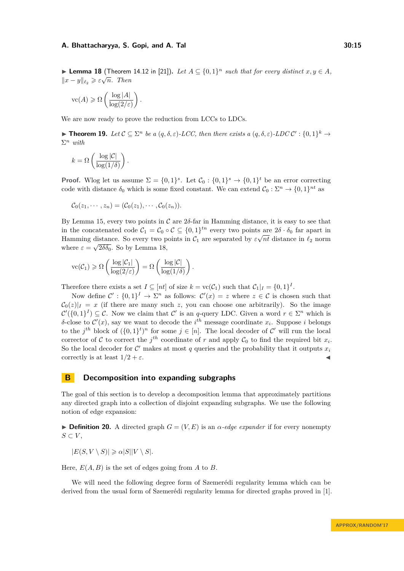<span id="page-14-1"></span>► **Lemma 18** (Theorem 14.12 in [\[21\]](#page-12-19)). Let  $A \subseteq \{0,1\}^n$  such that for every distinct  $x, y \in A$ ,  $||x - y||_{\ell_2} \geqslant \varepsilon \sqrt{n}$ *. Then* 

$$
\text{vc}(A) \geqslant \Omega\left(\frac{\log|A|}{\log(2/\varepsilon)}\right).
$$

We are now ready to prove the reduction from LCCs to LDCs.

**► Theorem 19.** Let  $C \subseteq \Sigma^n$  be a  $(q, \delta, \varepsilon)$ -LCC, then there exists a  $(q, \delta, \varepsilon)$ -LDC  $C' : \{0, 1\}^k \to$ Σ *<sup>n</sup> with*

$$
k = \Omega\left(\frac{\log |\mathcal{C}|}{\log(1/\delta)}\right).
$$

**Proof.** Wlog let us assume  $\Sigma = \{0,1\}^s$ . Let  $\mathcal{C}_0 : \{0,1\}^s \to \{0,1\}^t$  be an error correcting code with distance  $\delta_0$  which is some fixed constant. We can extend  $C_0 : \Sigma^n \to \{0,1\}^{nt}$  as

$$
C_0(z_1,\cdots,z_n)=(C_0(z_1),\cdots,C_0(z_n)).
$$

By Lemma [15,](#page-13-6) every two points in  $\mathcal C$  are  $2\delta$ -far in Hamming distance, it is easy to see that in the concatenated code  $C_1 = C_0 \circ C \subseteq \{0,1\}^{tn}$  every two points are  $2\delta \cdot \delta_0$  far apart in Hamming distance. So every two points in  $\mathcal{C}_1$  are separated by  $\varepsilon \sqrt{nt}$  distance in  $\ell_2$  norm where  $\varepsilon = \sqrt{2\delta\delta_0}$ . So by Lemma [18,](#page-14-1)

$$
\text{vc}(\mathcal{C}_1) \geqslant \Omega\left(\frac{\log |\mathcal{C}_1|}{\log(2/\varepsilon)}\right) = \Omega\left(\frac{\log |\mathcal{C}|}{\log(1/\delta)}\right).
$$

Therefore there exists a set  $I \subseteq [nt]$  of size  $k = \text{vc}(\mathcal{C}_1)$  such that  $\mathcal{C}_1|_I = \{0,1\}^I$ .

Now define  $\mathcal{C}' : \{0,1\}^I \to \Sigma^n$  as follows:  $\mathcal{C}'(x) = z$  where  $z \in \mathcal{C}$  is chosen such that  $C_0(z)|_I = x$  (if there are many such *z*, you can choose one arbitrarily). So the image  $\mathcal{C}'(\{0,1\}^I) \subseteq \mathcal{C}$ . Now we claim that  $\mathcal{C}'$  is an *q*-query LDC. Given a word  $r \in \Sigma^n$  which is *δ*-close to  $\mathcal{C}'(x)$ , say we want to decode the *i*<sup>th</sup> message coordinate  $x_i$ . Suppose *i* belongs to the  $j^{th}$  block of  $({0,1}^t)^n$  for some  $j \in [n]$ . The local decoder of C' will run the local corrector of C to correct the  $j^{th}$  coordinate of r and apply  $C_0$  to find the required bit  $x_i$ . So the local decoder for  $\mathcal{C}'$  makes at most  $q$  queries and the probability that it outputs  $x_i$ correctly is at least  $1/2 + \varepsilon$ .

# <span id="page-14-0"></span>**B Decomposition into expanding subgraphs**

The goal of this section is to develop a decomposition lemma that approximately partitions any directed graph into a collection of disjoint expanding subgraphs. We use the following notion of edge expansion:

**Definition 20.** A directed graph  $G = (V, E)$  is an  $\alpha$ -edge expander if for every nonempty  $S$  ⊂  $V$ ,

 $|E(S, V \setminus S)| \geq \alpha |S||V \setminus S|$ .

Here,  $E(A, B)$  is the set of edges going from  $A$  to  $B$ .

We will need the following degree form of Szemerédi regularity lemma which can be derived from the usual form of Szemerédi regularity lemma for directed graphs proved in [\[1\]](#page-11-2).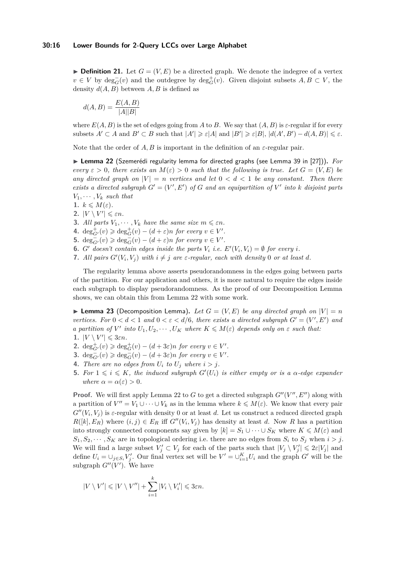$\triangleright$  **Definition 21.** Let  $G = (V, E)$  be a directed graph. We denote the indegree of a vertex *v* ∈ *V* by deg<sub>*G*</sub><sup> $\subset$ </sup>(*v*) and the outdegree by deg<sub>*G*</sub><sup> $\perp$ </sup>(*v*). Given disjoint subsets *A, B* ⊂ *V*, the density  $d(A, B)$  between  $A, B$  is defined as

$$
d(A, B) = \frac{E(A, B)}{|A||B|}
$$

where  $E(A, B)$  is the set of edges going from A to B. We say that  $(A, B)$  is  $\varepsilon$ -regular if for every subsets  $A' \subset A$  and  $B' \subset B$  such that  $|A'| \geq \varepsilon |A|$  and  $|B'| \geq \varepsilon |B|$ ,  $|d(A', B') - d(A, B)| \leq \varepsilon$ .

Note that the order of  $A, B$  is important in the definition of an  $\varepsilon$ -regular pair.

<span id="page-15-0"></span>▶ Lemma 22 (Szemerédi regularity lemma for directed graphs (see Lemma 39 in [\[27\]](#page-13-7))). *For every*  $\varepsilon > 0$ , there exists an  $M(\varepsilon) > 0$  such that the following is true. Let  $G = (V, E)$  be *any directed graph on*  $|V| = n$  *vertices and let*  $0 < d < 1$  *be any constant. Then there exists a directed subgraph*  $G' = (V', E')$  *of*  $G$  *and an equipartition of*  $V'$  *into*  $k$  *disjoint parts*  $V_1, \cdots, V_k$  *such that* 

- 1.  $k \leqslant M(\varepsilon)$ .
- **2.**  $|V \setminus V'| \leq \varepsilon n$ .
- **3.** *All parts*  $V_1, \cdots, V_k$  *have the same size*  $m \leq \varepsilon n$ *.*
- **4.**  $\deg_{G'}^+(v) \geq \deg_G^+(v) (d+\varepsilon)n$  *for every*  $v \in V'.$
- **5.**  $deg_{G'}^{-}(v) \geqslant deg_{G}^{-}(v) (d + \varepsilon)n$  *for every*  $v \in V'.$
- **6.** *G' doesn't contain edges inside the parts*  $V_i$  *i.e.*  $E'(V_i, V_i) = \emptyset$  *for every i.*
- **7.** All pairs  $G'(V_i, V_j)$  with  $i \neq j$  are  $\varepsilon$ -regular, each with density 0 or at least *d*.

The regularity lemma above asserts pseudorandomness in the edges going between parts of the partition. For our application and others, it is more natural to require the edges inside each subgraph to display pseudorandomness. As the proof of our Decomposition Lemma shows, we can obtain this from Lemma [22](#page-15-0) with some work.

<span id="page-15-1"></span>**I Lemma 23** (Decomposition Lemma). Let  $G = (V, E)$  be any directed graph on  $|V| = n$ *vertices.* For  $0 < d < 1$  and  $0 < \varepsilon < d/6$ , there exists a directed subgraph  $G' = (V', E')$  and *a partition of*  $V'$  *into*  $U_1, U_2, \cdots, U_K$  *where*  $K \leqslant M(\varepsilon)$  *depends only on*  $\varepsilon$  *such that:* 

- **1.**  $|V \setminus V'| \leqslant 3\varepsilon n$ .
- **2.**  $deg_{G'}^+(v) \geqslant deg_G^+(v) (d + 3\varepsilon)n$  *for every*  $v \in V'.$
- **3.**  $\deg_{G'}^{-}(v) \geq \deg_{G}^{-}(v) (d + 3\varepsilon)n$  *for every*  $v \in V'.$
- **4.** *There are no edges from*  $U_i$  *to*  $U_j$  *where*  $i > j$ *.*
- **5.** For  $1 \leq i \leq K$ , the induced subgraph  $G'(U_i)$  is either empty or is a  $\alpha$ -edge expander *where*  $\alpha = \alpha(\varepsilon) > 0$ *.*

**Proof.** We will first apply Lemma [22](#page-15-0) to *G* to get a directed subgraph  $G''(V'', E'')$  along with a partition of  $V'' = V_1 \cup \cdots \cup V_k$  as in the lemma where  $k \leq M(\varepsilon)$ . We know that every pair  $G''(V_i, V_j)$  is  $\varepsilon$ -regular with density 0 or at least *d*. Let us construct a reduced directed graph  $R([k], E_R)$  where  $(i, j) \in E_R$  iff  $G''(V_i, V_j)$  has density at least *d*. Now *R* has a partition into strongly connected components say given by  $[k] = S_1 \cup \cdots \cup S_K$  where  $K \leq M(\varepsilon)$  and  $S_1, S_2, \cdots, S_K$  are in topological ordering i.e. there are no edges from  $S_i$  to  $S_j$  when  $i > j$ . We will find a large subset  $V'_j \subset V_j$  for each of the parts such that  $|V_j \setminus V'_j| \leq 2\varepsilon|V_j|$  and define  $U_i = \bigcup_{j \in S_i} V'_j$ . Our final vertex set will be  $V' = \bigcup_{i=1}^K U_i$  and the graph  $G'$  will be the subgraph  $G''(V')$ . We have

$$
|V \setminus V'| \leq |V \setminus V''| + \sum_{i=1}^k |V_i \setminus V'_i| \leq 3\varepsilon n.
$$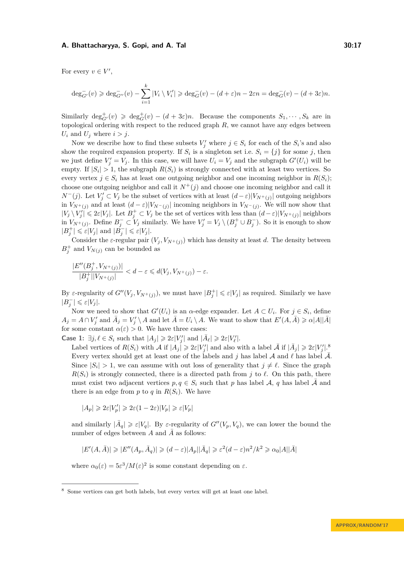For every  $v \in V'$ ,

$$
\deg_{G'}^-(v) \geqslant \deg_{G''}^-(v) - \sum_{i=1}^k |V_i \setminus V_i'| \geqslant \deg_G^-(v) - (d + \varepsilon)n - 2\varepsilon n = \deg_G^-(v) - (d + 3\varepsilon)n.
$$

Similarly  $\deg_{G'}^+(v) \geq \deg_G^+(v) - (d+3\varepsilon)n$ . Because the components  $S_1, \dots, S_k$  are in topological ordering with respect to the reduced graph *R*, we cannot have any edges between  $U_i$  and  $U_j$  where  $i > j$ .

Now we describe how to find these subsets  $V'_j$  where  $j \in S_i$  for each of the  $S_i$ 's and also show the required expansion property. If  $S_i$  is a singleton set i.e.  $S_i = \{j\}$  for some *j*, then we just define  $V'_j = V_j$ . In this case, we will have  $U_i = V_j$  and the subgraph  $G'(U_i)$  will be empty. If  $|S_i| > 1$ , the subgraph  $R(S_i)$  is strongly connected with at least two vertices. So every vertex  $j \in S_i$  has at least one outgoing neighbor and one incoming neighbor in  $R(S_i)$ ; choose one outgoing neighbor and call it  $N^+(j)$  and choose one incoming neighbor and call it *N*<sup>−</sup>(*j*). Let *V*<sup>*j*</sup> ⊂ *V<sub>j</sub>* be the subset of vertices with at least  $(d - \varepsilon)|V_{N^+(j)}|$  outgoing neighbors in  $V_{N^+(j)}$  and at least  $(d - \varepsilon)|V_{N^-(j)}|$  incoming neighbors in  $V_{N^-(j)}$ . We will now show that  $|V_j \setminus V'_j| \leq 2\varepsilon|V_j|$ . Let  $B_j^+ \subset V_j$  be the set of vertices with less than  $(d-\varepsilon)|V_{N^+(j)}|$  neighbors in  $V_{N^+(j)}$ . Define  $B_j^- \subset V_j$  similarly. We have  $V_j' = V_j \setminus (B_j^+ \cup B_j^-)$ . So it is enough to show  $|B_j^+| \leqslant \varepsilon |V_j|$  and  $|\tilde{B}_j^-| \leqslant \varepsilon |V_j|$ .

Consider the *ε*-regular pair  $(V_j, V_{N^+(j)})$  which has density at least *d*. The density between  $B_j^+$  and  $V_{N(j)}$  can be bounded as

$$
\frac{|E''(B_j^+,V_{N^+(j)})|}{|B_j^+||V_{N^+(j)}|} < d-\varepsilon \leq d(V_j,V_{N^+(j)}) - \varepsilon.
$$

By *ε*-regularity of  $G''(V_j, V_{N^+(j)})$ , we must have  $|B_j^+| \leq \varepsilon |V_j|$  as required. Similarly we have  $|B_j^-| \leqslant \varepsilon |V_j|.$ 

Now we need to show that  $G'(U_i)$  is an  $\alpha$ -edge expander. Let  $A \subset U_i$ . For  $j \in S_i$ , define  $A_j = A \cap V'_j$  and  $\overline{A}_j = V'_j \setminus A$  and let  $\overline{A} = U_i \setminus A$ . We want to show that  $E'(A, \overline{A}) \geq \alpha |A||\overline{A}|$ for some constant  $\alpha(\varepsilon) > 0$ . We have three cases:

**Case 1:**  $\exists j, \ell \in S_i$  such that  $|A_j| \geq 2\varepsilon|V'_j|$  and  $|\bar{A}_{\ell}| \geq 2\varepsilon|V'_{\ell}|$ .

Label vertices of  $R(S_i)$  with  $\mathcal A$  if  $|A_j| \geqslant 2\varepsilon|V'_j|$  and also with a label  $\bar{\mathcal A}$  if  $|\bar{A}_j| \geqslant 2\varepsilon|V'_j|$ .<sup>[8](#page-16-0)</sup> Every vertex should get at least one of the labels and *j* has label  $\mathcal A$  and  $\ell$  has label  $\bar{\mathcal A}$ . Since  $|S_i| > 1$ , we can assume with out loss of generality that  $j \neq \ell$ . Since the graph  $R(S_i)$  is strongly connected, there is a directed path from *j* to  $\ell$ . On this path, there must exist two adjacent vertices  $p, q \in S_i$  such that p has label A, q has label  $\overline{A}$  and there is an edge from  $p$  to  $q$  in  $R(S_i)$ . We have

 $|A_p| \geqslant 2\varepsilon |V'_p| \geqslant 2\varepsilon(1-2\varepsilon)|V_p| \geqslant \varepsilon |V_p|$ 

and similarly  $|\bar{A}_q| \geq \varepsilon |V_q|$ . By  $\varepsilon$ -regularity of  $G''(V_p, V_q)$ , we can lower the bound the number of edges between  $A$  and  $\overline{A}$  as follows:

$$
|E'(A,\bar{A})|\geqslant |E''(A_p,\bar{A}_q)|\geqslant (d-\varepsilon)|A_p||\bar{A}_q|\geqslant \varepsilon^2(d-\varepsilon)n^2/k^2\geqslant \alpha_0|A||\bar{A}|
$$

where  $\alpha_0(\varepsilon) = 5\varepsilon^3 / M(\varepsilon)^2$  is some constant depending on  $\varepsilon$ .

<span id="page-16-0"></span><sup>8</sup> Some vertices can get both labels, but every vertex will get at least one label.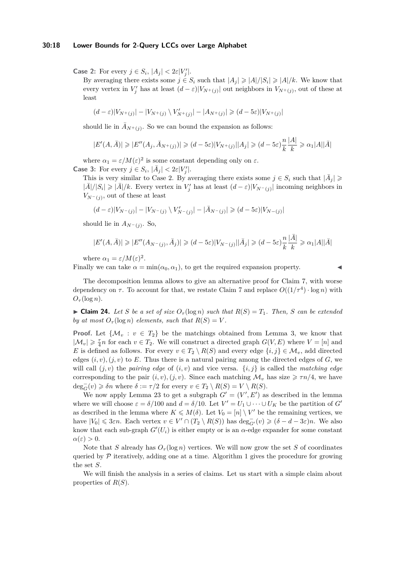#### **30:18 Lower Bounds for 2-Query LCCs over Large Alphabet**

**Case 2:** For every  $j \in S_i$ ,  $|A_j| < 2\varepsilon|V'_j|$ .

By averaging there exists some  $j \in S_i$  such that  $|A_j| \geq |A|/|S_i| \geq |A|/k$ . We know that every vertex in  $V'_j$  has at least  $(d - \varepsilon)|V_{N^+(j)}|$  out neighbors in  $V_{N^+(j)}$ , out of these at least

$$
(d-\varepsilon)|V_{N^+(j)}|-|V_{N^+(j)}\setminus V'_{N^+(j)}|-|A_{N^+(j)}|\geqslant (d-5\varepsilon)|V_{N^+(j)}|
$$

should lie in  $\bar{A}_{N^+(j)}$ . So we can bound the expansion as follows:

$$
|E'(A,\bar{A})| \geq |E''(A_j,\bar{A}_{N^+(j)})| \geq (d-5\varepsilon)|V_{N^+(j)}||A_j| \geq (d-5\varepsilon)\frac{n}{k}\frac{|A|}{k} \geq \alpha_1|A||\bar{A}|
$$

where  $\alpha_1 = \varepsilon / M(\varepsilon)^2$  is some constant depending only on  $\varepsilon$ . **Case 3:** For every  $j \in S_i$ ,  $|\bar{A}_j| < 2\varepsilon|V'_j|$ .

This is very similar to Case 2. By averaging there exists some  $j \in S_i$  such that  $|\bar{A}_j| \geq$  $|\bar{A}|/|S_i| \ge |\bar{A}|/k$ . Every vertex in  $V'_j$  has at least  $(d - \varepsilon)|V_{N^-(j)}|$  incoming neighbors in  $V_{N^-(j)}$ , out of these at least

$$
(d-\varepsilon)|V_{N^-(j)}| - |V_{N^-(j)} \setminus V'_{N^-(j)}| - |\bar A_{N^-(j)}| \geq (d-5\varepsilon)|V_{N^-(j)}|
$$

should lie in  $A_{N^-(j)}$ . So,

$$
|E'(A,\bar{A})|\geqslant |E''(A_{N^-(j)},\bar{A}_j)|\geqslant (d-5\varepsilon)|V_{N^-(j)}||\bar{A}_j|\geqslant (d-5\varepsilon)\frac{n}{k}\frac{|\bar{A}|}{k}\geqslant \alpha_1|A||\bar{A}|
$$

where  $\alpha_1 = \varepsilon / M(\varepsilon)^2$ .

Finally we can take  $\alpha = \min(\alpha_0, \alpha_1)$ , to get the required expansion property.

The decomposition lemma allows to give an alternative proof for Claim [7,](#page-8-0) with worse dependency on  $\tau$ . To account for that, we restate Claim [7](#page-8-0) and replace  $O((1/\tau^4) \cdot \log n)$  with  $O_\tau(\log n)$ .

 $\blacktriangleright$  **Claim 24.** Let *S* be a set of size  $O_\tau(\log n)$  such that  $R(S) = T_1$ . Then, *S* can be extended *by at most*  $O_\tau(\log n)$  *elements, such that*  $R(S) = V$ .

**Proof.** Let  $\{\mathcal{M}_v : v \in T_2\}$  be the matchings obtained from Lemma [3,](#page-5-2) we know that  $|\mathcal{M}_v| \geq \frac{\tau}{4}n$  for each  $v \in T_2$ . We will construct a directed graph  $G(V, E)$  where  $V = [n]$  and *E* is defined as follows. For every  $v \in T_2 \setminus R(S)$  and every edge  $\{i, j\} \in \mathcal{M}_v$ , add directed edges  $(i, v), (j, v)$  to E. Thus there is a natural pairing among the directed edges of  $G$ , we will call  $(j, v)$  the *pairing edge* of  $(i, v)$  and vice versa.  $\{i, j\}$  is called the *matching edge* corresponding to the pair  $(i, v), (j, v)$ . Since each matching  $\mathcal{M}_v$  has size  $\geq \tau n/4$ , we have  $deg_G^-(v) \geq \delta n$  where  $\delta := \tau/2$  for every  $v \in T_2 \setminus R(S) = V \setminus R(S)$ .

We now apply Lemma [23](#page-15-1) to get a subgraph  $G' = (V', E')$  as described in the lemma where we will choose  $\varepsilon = \delta/100$  and  $d = \delta/10$ . Let  $V' = U_1 \cup \cdots \cup U_K$  be the partition of  $G'$ as described in the lemma where  $K \leq M(\delta)$ . Let  $V_0 = [n] \setminus V'$  be the remaining vertices, we have  $|V_0| \leq 3\varepsilon n$ . Each vertex  $v \in V' \cap (T_2 \setminus R(S))$  has  $\deg_{G'}^-(v) \geq (\delta - d - 3\varepsilon)n$ . We also know that each sub-graph  $G'(U_i)$  is either empty or is an  $\alpha$ -edge expander for some constant  $\alpha(\varepsilon) > 0.$ 

Note that *S* already has  $O_7(\log n)$  vertices. We will now grow the set *S* of coordinates queried by  $P$  iteratively, adding one at a time. Algorithm [1](#page-18-0) gives the procedure for growing the set *S*.

We will finish the analysis in a series of claims. Let us start with a simple claim about properties of *R*(*S*).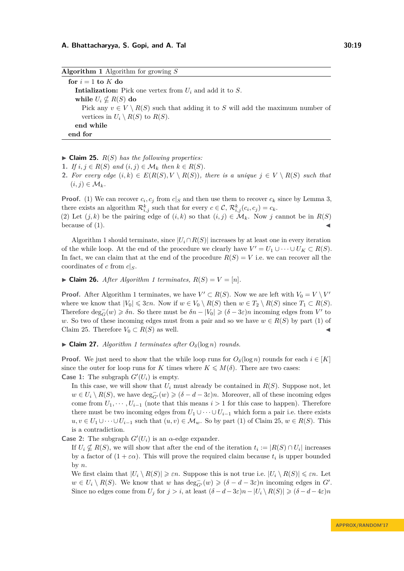<span id="page-18-0"></span>**Algorithm 1** Algorithm for growing *S* **for**  $i = 1$  **to**  $K$  **do Intialization:** Pick one vertex from *U<sup>i</sup>* and add it to *S*. **while**  $U_i \nsubseteq R(S)$  **do** Pick any  $v \in V \setminus R(S)$  such that adding it to *S* will add the maximum number of vertices in  $U_i \setminus R(S)$  to  $R(S)$ . **end while end for**

<span id="page-18-1"></span> $\blacktriangleright$  **Claim 25.**  $R(S)$  has the following properties:

- 1. *If*  $i, j \in R(S)$  *and*  $(i, j) \in M_k$  *then*  $k \in R(S)$ *.*
- **2.** For every edge  $(i, k) \in E(R(S), V \setminus R(S))$ , there is a unique  $j \in V \setminus R(S)$  such that  $(i, j) \in \mathcal{M}_k$ .

**Proof.** (1) We can recover  $c_i$ ,  $c_j$  from  $c|_S$  and then use them to recover  $c_k$  since by Lemma [3,](#page-5-2) there exists an algorithm  $\mathcal{R}_{i,j}^k$  such that for every  $c \in \mathcal{C}$ ,  $\mathcal{R}_{i,j}^k(c_i, c_j) = c_k$ .

(2) Let  $(j, k)$  be the pairing edge of  $(i, k)$  so that  $(i, j) \in \mathcal{M}_k$ . Now j cannot be in  $R(S)$ because of  $(1)$ .

Algorithm [1](#page-18-0) should terminate, since  $|U_i \cap R(S)|$  increases by at least one in every iteration of the while loop. At the end of the procedure we clearly have  $V' = U_1 \cup \cdots \cup U_K \subset R(S)$ . In fact, we can claim that at the end of the procedure  $R(S) = V$  i.e. we can recover all the coordinates of *c* from  $c|_S$ .

 $\blacktriangleright$  **Claim 26.** After Algorithm [1](#page-18-0) terminates,  $R(S) = V = [n]$ .

**Proof.** After Algorithm [1](#page-18-0) terminates, we have  $V' \subset R(S)$ . Now we are left with  $V_0 = V \setminus V'$ where we know that  $|V_0| \leq 3\varepsilon n$ . Now if  $w \in V_0 \setminus R(S)$  then  $w \in T_2 \setminus R(S)$  since  $T_1 \subset R(S)$ . Therefore  $\deg_G^{-}(w) \geq \delta n$ . So there must be  $\delta n - |V_0| \geq (\delta - 3\varepsilon)n$  incoming edges from V' to *w*. So two of these incoming edges must from a pair and so we have  $w \in R(S)$  by part (1) of Claim [25.](#page-18-1) Therefore  $V_0 \subset R(S)$  as well.

 $\triangleright$  **Claim 27.** *Algorithm [1](#page-18-0) terminates after*  $O_\delta(\log n)$  *rounds.* 

**Proof.** We just need to show that the while loop runs for  $O_\delta(\log n)$  rounds for each  $i \in [K]$ since the outer for loop runs for *K* times where  $K \leq M(\delta)$ . There are two cases: **Case 1:** The subgraph  $G'(U_i)$  is empty.

In this case, we will show that  $U_i$  must already be contained in  $R(S)$ . Suppose not, let  $w \in U_i \setminus R(S)$ , we have  $\deg_{G'}^{-}(w) \geqslant (\delta - d - 3\varepsilon)n$ . Moreover, all of these incoming edges come from  $U_1, \dots, U_{i-1}$  (note that this means  $i > 1$  for this case to happen). Therefore there must be two incoming edges from  $U_1 \cup \cdots \cup U_{i-1}$  which form a pair i.e. there exists *u, v* ∈ *U*<sub>1</sub> ∪ · · · ∪ *U*<sub>*i*</sub>−1 such that  $(u, v) \in M_w$ . So by part (1) of Claim [25,](#page-18-1)  $w \in R(S)$ . This is a contradiction.

**Case 2:** The subgraph  $G'(U_i)$  is an  $\alpha$ -edge expander.

If  $U_i \nsubseteq R(S)$ , we will show that after the end of the iteration  $t_i := |R(S) \cap U_i|$  increases by a factor of  $(1 + \varepsilon \alpha)$ . This will prove the required claim because  $t_i$  is upper bounded by *n*.

We first claim that  $|U_i \setminus R(S)| \geq \varepsilon n$ . Suppose this is not true i.e.  $|U_i \setminus R(S)| \leq \varepsilon n$ . Let  $w \in U_i \setminus R(S)$ . We know that *w* has  $\deg_{G'}^-(w) \geq (\delta - d - 3\varepsilon)n$  incoming edges in *G*<sup>'</sup>. Since no edges come from  $U_j$  for  $j > i$ , at least  $(\delta - d - 3\varepsilon)n - |U_i \setminus R(S)| \geq (\delta - d - 4\varepsilon)n$